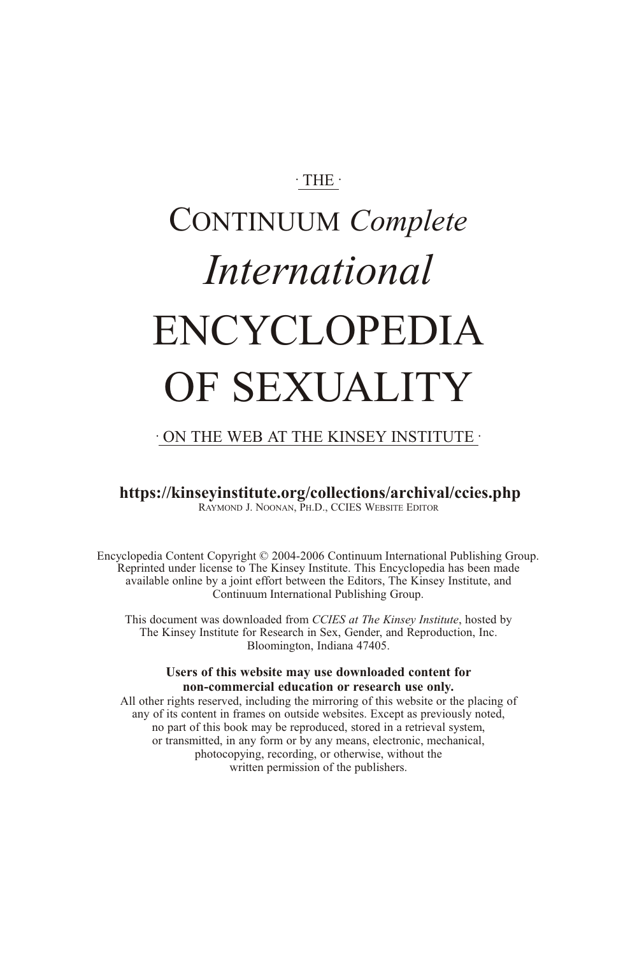### • THE •

# CONTINUUM *Complete International* ENCYCLOPEDIA OF SEXUALITY

### $\cdot$  ON THE WEB AT THE KINSEY INSTITUTE  $\cdot$

**https://kinseyinstitute.org/collections/archival/ccies.php** RAYMOND J. NOONAN, PH.D., CCIES WEBSITE EDITOR

Encyclopedia Content Copyright © 2004-2006 Continuum International Publishing Group. Reprinted under license to The Kinsey Institute. This Encyclopedia has been made available online by a joint effort between the Editors, The Kinsey Institute, and Continuum International Publishing Group.

This document was downloaded from *CCIES* at The Kinsey Institute, hosted by The Kinsey Institute for Research in Sex, Gender, and Reproduction, Inc. Bloomington, Indiana 47405.

#### **Us ers of this website may use down loaded content for non-com mercial edu cation or re search use only.**

All other rights reserved, including the mirroring of this website or the placing of any of its content in frames on outside websites. Except as previously noted, no part of this book may be reproduced, stored in a retrieval system, or transmitted, in any form or by any means, electronic, mechanical, photocopying, recording, or otherwise, without the written permission of the publishers.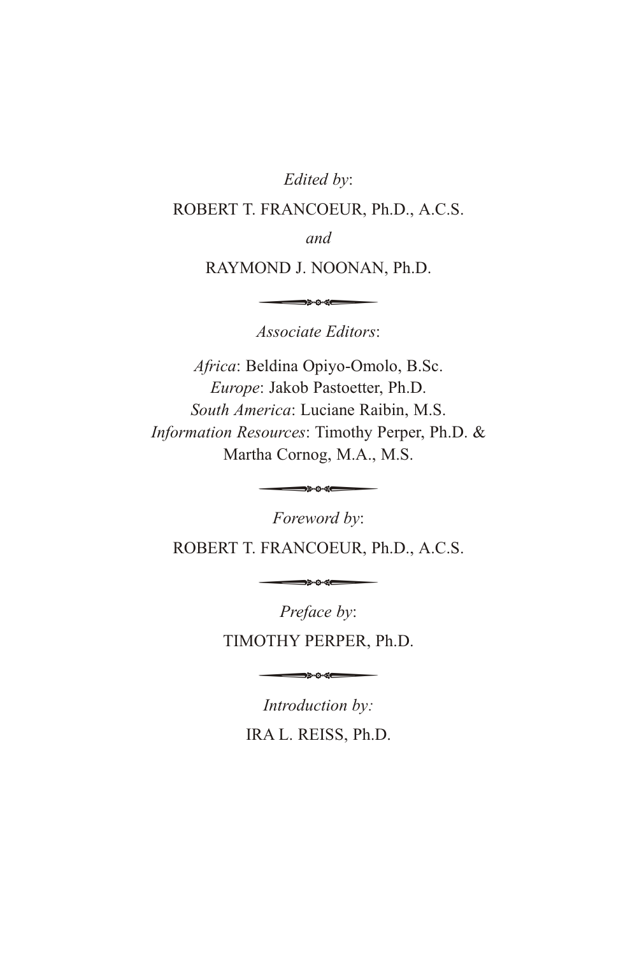*Edited by:* ROBERT T. FRANCOEUR, Ph.D., A.C.S. *and*

RAY MOND J. NOONAN, Ph and<br>
OND J. NOONAN<br>
Some Editors: .D.

*As so ci ate Ed i tors*:

Africa: Beldina Opiyo-Omolo, B.Sc. *Eu rope*: Jakob Pastoetter, Ph.D. South America: Luciane Raibin, M.S. *Information Resources*: Timothy Perper, Ph.D. &<br>Martha Cornog, M.A., M.S.<br>Cornoges & Cornogy Poreword by: Martha Cornog, M.A., M.S.

*Fore word by*:

ROBERT T. FRANCOEUR, Ph.D., A.C.S

Foreword by:<br>FRANCOEUR, Ph.D., A.C.S.<br>Preface by: Preface by: TIMOTHY PERPER, Ph.D. *Preface by:*<br> *OTHY PERPER, 1*<br> *Introduction by:* 

IRA L. REISS, Ph.D.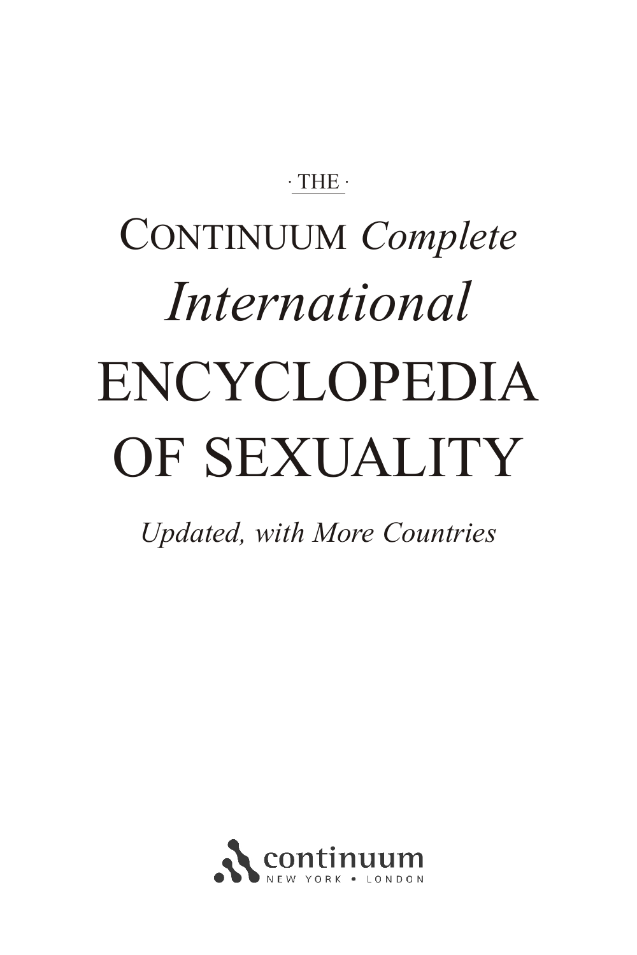• THE •

# CONTINUUM *Complete International* ENCYCLOPEDIA OF SEXUALITY

*Updated, with More Countries*

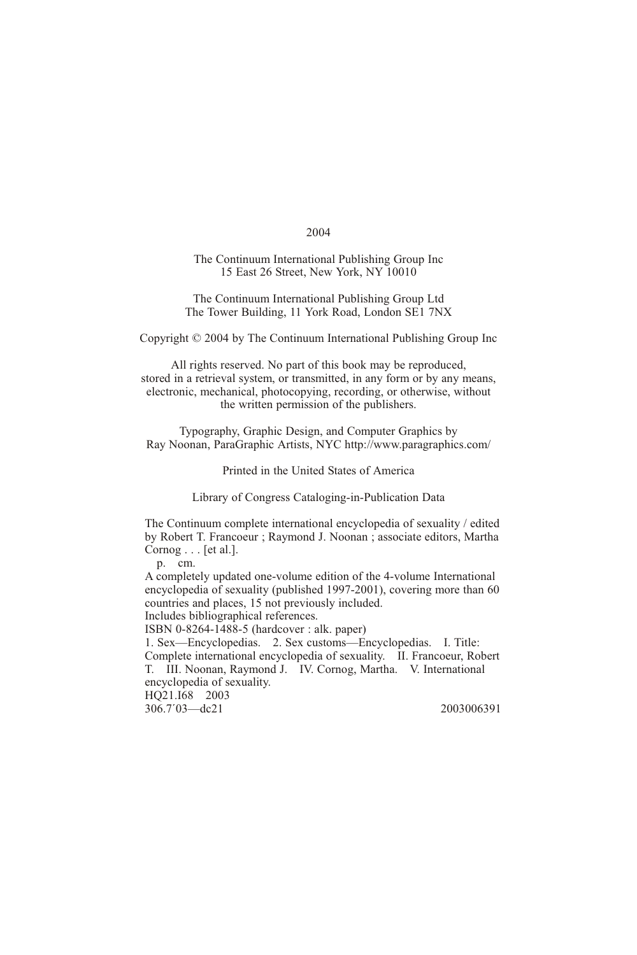2004

The Continuum International Publishing Group Inc 15 East 26 Street, New York, NY 10010

The Continuum International Publishing Group Ltd The Tower Building, 11 York Road, London SE1 7NX

Copyright © 2004 by The Continuum International Publishing Group Inc

All rights reserved. No part of this book may be reproduced, stored in a retrieval system, or transmitted, in any form or by any means, electronic, mechanical, photocopying, recording, or otherwise, without the written permission of the publishers.

Typography, Graphic Design, and Computer Graphics by Ray Noonan, ParaGraphic Artists, NYC http://www.paragraphics.com/

Printed in the United States of America

Library of Congress Cataloging-in-Publication Data

The Continuum complete international encyclopedia of sexuality / edited by Robert T. Francoeur ; Raymond J. Noonan ; associate editors, Martha Cornog . . . [et al.].

p. cm.

A completely updated one-volume edition of the 4-volume International encyclopedia of sexuality (published 1997-2001), covering more than 60 countries and places, 15 not previously included.

Includes bibliographical references.

ISBN 0-8264-1488-5 (hardcover : alk. paper)

1. Sex—Encyclopedias. 2. Sex customs—Encyclopedias. I. Title: Complete international encyclopedia of sexuality. II. Francoeur, Robert T. III. Noonan, Raymond J. IV. Cornog, Martha. V. International encyclopedia of sexuality. HQ21.I68 2003

306.7´03—dc21 2003006391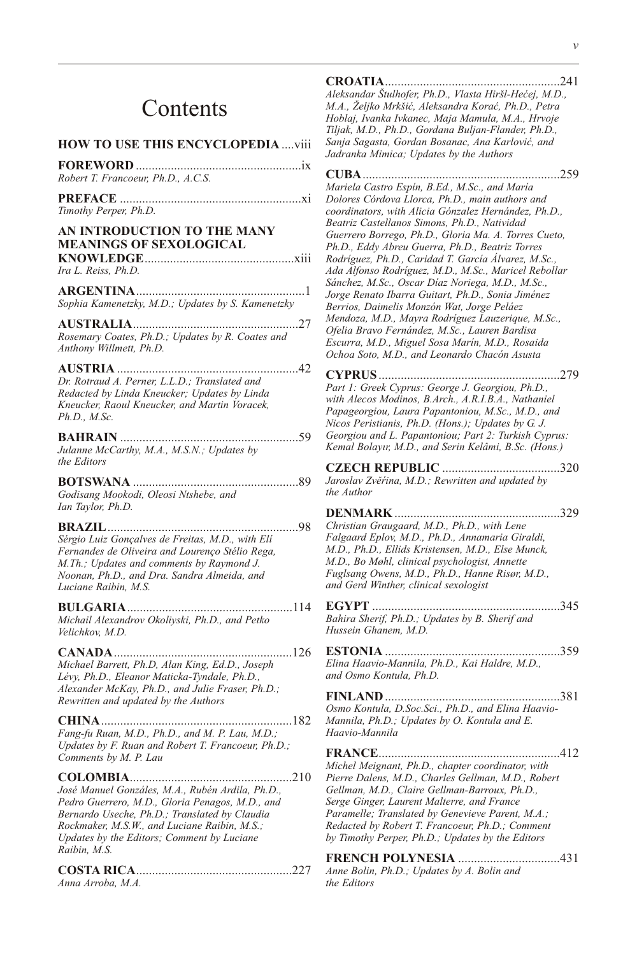## Contents

#### **HOW TO USE THIS ENCYCLOPEDIA** ....viii

| Robert T. Francoeur, Ph.D., A.C.S. |  |
|------------------------------------|--|

**PREFACE** .........................................................xi *Timothy Perper, Ph.D.*

#### **AN INTRODUCTION TO THE MANY MEANINGS OF SEXOLOGICAL**

|                     | . |
|---------------------|---|
| Ira L. Reiss, Ph.D. |   |

**ARGENTINA**.....................................................1 *Sophia Kamenetzky, M.D.; Updates by S. Kamenetzky*

#### **AUSTRALIA**....................................................27

*Rosemary Coates, Ph.D.; Updates by R. Coates and Anthony Willmett, Ph.D.*

#### **AUSTRIA** .........................................................42 *Dr. Rotraud A. Perner, L.L.D.; Translated and*

*Redacted by Linda Kneucker; Updates by Linda Kneucker, Raoul Kneucker, and Martin Voracek, Ph.D., M.Sc.*

#### **BAHRAIN** ........................................................59 *Julanne McCarthy, M.A., M.S.N.; Updates by the Editors*

**BOTSWANA** ....................................................89 *Godisang Mookodi, Oleosi Ntshebe, and Ian Taylor, Ph.D.*

### **BRAZIL**............................................................98

*Sérgio Luiz Gonçalves de Freitas, M.D., with Elí Fernandes de Oliveira and Lourenço Stélio Rega, M.Th.; Updates and comments by Raymond J. Noonan, Ph.D., and Dra. Sandra Almeida, and Luciane Raibin, M.S.*

#### **BULGARIA**....................................................114 *Michail Alexandrov Okoliyski, Ph.D., and Petko*

*Velichkov, M.D.* **CANADA**........................................................126

#### *Michael Barrett, Ph.D, Alan King, Ed.D., Joseph Lévy, Ph.D., Eleanor Maticka-Tyndale, Ph.D., Alexander McKay, Ph.D., and Julie Fraser, Ph.D.; Rewritten and updated by the Authors*

**CHINA**............................................................182 *Fang-fu Ruan, M.D., Ph.D., and M. P. Lau, M.D.; Updates by F. Ruan and Robert T. Francoeur, Ph.D.; Comments by M. P. Lau*

**COLOMBIA**...................................................210 *José Manuel Gonzáles, M.A., Rubén Ardila, Ph.D., Pedro Guerrero, M.D., Gloria Penagos, M.D., and Bernardo Useche, Ph.D.; Translated by Claudia Rockmaker, M.S.W., and Luciane Raibin, M.S.; Updates by the Editors; Comment by Luciane Raibin, M.S.*

**COSTA RICA**.................................................227 *Anna Arroba, M.A.*

**CROATIA**.......................................................241 *Aleksandar Štulhofer, Ph.D., Vlasta Hiršl-Heæej, M.D., M.A., Željko Mrkšiæ, Aleksandra Koraæ, Ph.D., Petra Hoblaj, Ivanka Ivkanec, Maja Mamula, M.A., Hrvoje Tiljak, M.D., Ph.D., Gordana Buljan-Flander, Ph.D., Sanja Sagasta, Gordan Bosanac, Ana Karloviæ, and Jadranka Mimica; Updates by the Authors*

#### **CUBA**..............................................................259

*Mariela Castro Espín, B.Ed., M.Sc., and María Dolores Córdova Llorca, Ph.D., main authors and coordinators, with Alicia Gónzalez Hernández, Ph.D., Beatriz Castellanos Simons, Ph.D., Natividad Guerrero Borrego, Ph.D., Gloria Ma. A. Torres Cueto, Ph.D., Eddy Abreu Guerra, Ph.D., Beatriz Torres Rodríguez, Ph.D., Caridad T. García Álvarez, M.Sc., Ada Alfonso Rodríguez, M.D., M.Sc., Maricel Rebollar Sánchez, M.Sc., Oscar Díaz Noriega, M.D., M.Sc., Jorge Renato Ibarra Guitart, Ph.D., Sonia Jiménez Berrios, Daimelis Monzón Wat, Jorge Peláez Mendoza, M.D., Mayra Rodríguez Lauzerique, M.Sc., Ofelia Bravo Fernández, M.Sc., Lauren Bardisa Escurra, M.D., Miguel Sosa Marín, M.D., Rosaida Ochoa Soto, M.D., and Leonardo Chacón Asusta*

**CYPRUS**.........................................................279 Part 1: Greek Cyprus: George J. Georgiou, Ph.D., *with Alecos Modinos, B.Arch., A.R.I.B.A., Nathaniel Papageorgiou, Laura Papantoniou, M.Sc., M.D., and Nicos Peristianis, Ph.D. (Hons.); Updates by G. J. Georgiou and L. Papantoniou; Part 2: Turkish Cyprus: Kemal Bolayýr, M.D., and Serin Kelâmi, B.Sc. (Hons.)*

#### **CZECH REPUBLIC** .....................................320 *Jaroslav Zvìøina, M.D.; Rewritten and updated by*

*the Author*

#### **DENMARK**....................................................329

*Christian Graugaard, M.D., Ph.D., with Lene Falgaard Eplov, M.D., Ph.D., Annamaria Giraldi, M.D., Ph.D., Ellids Kristensen, M.D., Else Munck, M.D., Bo Møhl, clinical psychologist, Annette Fuglsang Owens, M.D., Ph.D., Hanne Risør, M.D., and Gerd Winther, clinical sexologist*

**EGYPT** ...........................................................345 *Bahira Sherif, Ph.D.; Updates by B. Sherif and Hussein Ghanem, M.D.*

#### **ESTONIA** .......................................................359

*Elina Haavio-Mannila, Ph.D., Kai Haldre, M.D., and Osmo Kontula, Ph.D.*

**FINLAND**.......................................................381 *Osmo Kontula, D.Soc.Sci., Ph.D., and Elina Haavio-Mannila, Ph.D.; Updates by O. Kontula and E. Haavio-Mannila*

#### **FRANCE**.........................................................412 *Michel Meignant, Ph.D., chapter coordinator, with Pierre Dalens, M.D., Charles Gellman, M.D., Robert Gellman, M.D., Claire Gellman-Barroux, Ph.D., Serge Ginger, Laurent Malterre, and France Paramelle; Translated by Genevieve Parent, M.A.; Redacted by Robert T. Francoeur, Ph.D.; Comment by Timothy Perper, Ph.D.; Updates by the Editors*

**FRENCH POLYNESIA** ................................431 *Anne Bolin, Ph.D.; Updates by A. Bolin and the Editors*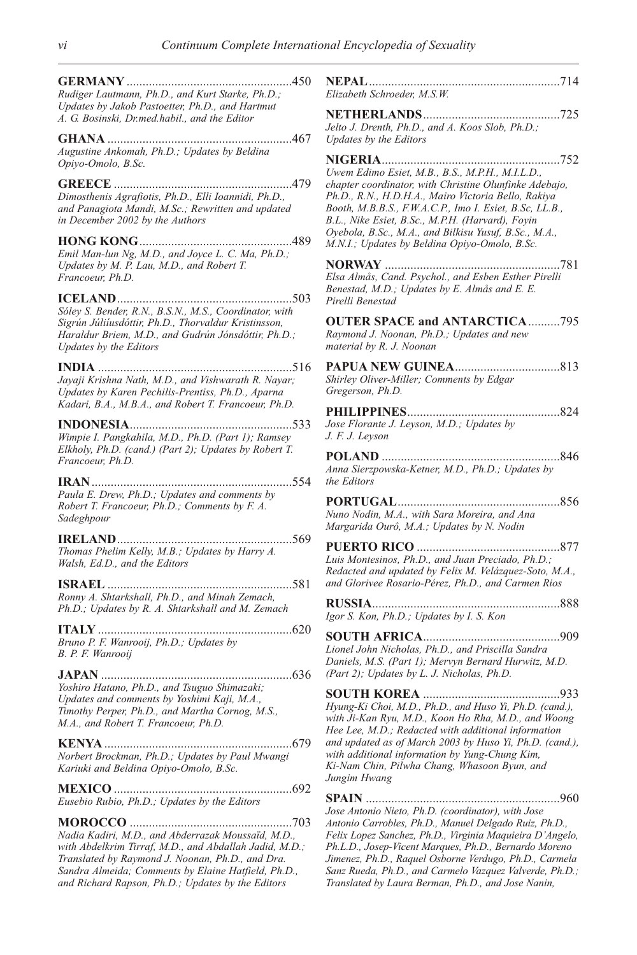| Rudiger Lautmann, Ph.D., and Kurt Starke, Ph.D.;                                                                                             | Elizabeth Schroeder, M.S.W.                                                                                                                                                                                                                                                                                                              |
|----------------------------------------------------------------------------------------------------------------------------------------------|------------------------------------------------------------------------------------------------------------------------------------------------------------------------------------------------------------------------------------------------------------------------------------------------------------------------------------------|
| Updates by Jakob Pastoetter, Ph.D., and Hartmut<br>A. G. Bosinski, Dr.med.habil., and the Editor                                             | Jelto J. Drenth, Ph.D., and A. Koos Slob, Ph.D.;                                                                                                                                                                                                                                                                                         |
| Augustine Ankomah, Ph.D.; Updates by Beldina<br>Opiyo-Omolo, B.Sc.                                                                           | Updates by the Editors                                                                                                                                                                                                                                                                                                                   |
| Dimosthenis Agrafiotis, Ph.D., Elli Ioannidi, Ph.D.,<br>and Panagiota Mandi, M.Sc.; Rewritten and updated<br>in December 2002 by the Authors | Uwem Edimo Esiet, M.B., B.S., M.P.H., M.I.L.D.,<br>chapter coordinator, with Christine Olunfinke Adebajo,<br>Ph.D., R.N., H.D.H.A., Mairo Victoria Bello, Rakiya<br>Booth, M.B.B.S., F.W.A.C.P., Imo I. Esiet, B.Sc, LL.B.,<br>B.L., Nike Esiet, B.Sc., M.P.H. (Harvard), Foyin<br>Oyebola, B.Sc., M.A., and Bilkisu Yusuf, B.Sc., M.A., |
| Emil Man-lun Ng, M.D., and Joyce L. C. Ma, Ph.D.;<br>Updates by M. P. Lau, M.D., and Robert T.<br>Francoeur, Ph.D.                           | M.N.I.; Updates by Beldina Opiyo-Omolo, B.Sc.<br>Elsa Almås, Cand. Psychol., and Esben Esther Pirelli                                                                                                                                                                                                                                    |
| Sóley S. Bender, R.N., B.S.N., M.S., Coordinator, with                                                                                       | Benestad, M.D.; Updates by E. Almås and E. E.<br>Pirelli Benestad                                                                                                                                                                                                                                                                        |
| Sigrún Júliíusdóttir, Ph.D., Thorvaldur Kristinsson,<br>Haraldur Briem, M.D., and Gudrún Jónsdóttir, Ph.D.;<br>Updates by the Editors        | <b>OUTER SPACE and ANTARCTICA795</b><br>Raymond J. Noonan, Ph.D.; Updates and new<br>material by R. J. Noonan                                                                                                                                                                                                                            |
| Jayaji Krishna Nath, M.D., and Vishwarath R. Nayar;<br>Updates by Karen Pechilis-Prentiss, Ph.D., Aparna                                     | Shirley Oliver-Miller; Comments by Edgar<br>Gregerson, Ph.D.                                                                                                                                                                                                                                                                             |
| Kadari, B.A., M.B.A., and Robert T. Francoeur, Ph.D.                                                                                         |                                                                                                                                                                                                                                                                                                                                          |
| Wimpie I. Pangkahila, M.D., Ph.D. (Part 1); Ramsey                                                                                           | Jose Florante J. Leyson, M.D.; Updates by<br>J. F. J. Leyson                                                                                                                                                                                                                                                                             |
| Elkholy, Ph.D. (cand.) (Part 2); Updates by Robert T.<br>Francoeur, Ph.D.                                                                    | Anna Sierzpowska-Ketner, M.D., Ph.D.; Updates by                                                                                                                                                                                                                                                                                         |
|                                                                                                                                              | the Editors                                                                                                                                                                                                                                                                                                                              |
| Paula E. Drew, Ph.D.; Updates and comments by<br>Robert T. Francoeur, Ph.D.; Comments by F. A.<br>Sadeghpour                                 | Nuno Nodin, M.A., with Sara Moreira, and Ana<br>Margarida Ourô, M.A.; Updates by N. Nodin                                                                                                                                                                                                                                                |
| Thomas Phelim Kelly, M.B.; Updates by Harry A.<br>Walsh, Ed.D., and the Editors                                                              | Luis Montesinos, Ph.D., and Juan Preciado, Ph.D.;<br>Redacted and updated by Felix M. Velázquez-Soto, M.A.,                                                                                                                                                                                                                              |
| Ronny A. Shtarkshall, Ph.D., and Minah Zemach,                                                                                               | and Glorivee Rosario-Pérez, Ph.D., and Carmen Rios                                                                                                                                                                                                                                                                                       |
| Ph.D.; Updates by R. A. Shtarkshall and M. Zemach                                                                                            | Igor S. Kon, Ph.D.; Updates by I. S. Kon                                                                                                                                                                                                                                                                                                 |
| Bruno P. F. Wanrooij, Ph.D.; Updates by<br>B. P. F. Wanrooij                                                                                 | Lionel John Nicholas, Ph.D., and Priscilla Sandra<br>Daniels, M.S. (Part 1); Mervyn Bernard Hurwitz, M.D.                                                                                                                                                                                                                                |
|                                                                                                                                              | (Part 2); Updates by L. J. Nicholas, Ph.D.                                                                                                                                                                                                                                                                                               |
| Yoshiro Hatano, Ph.D., and Tsuguo Shimazaki;                                                                                                 |                                                                                                                                                                                                                                                                                                                                          |
| Updates and comments by Yoshimi Kaji, M.A.,<br>Timothy Perper, Ph.D., and Martha Cornog, M.S.,<br>M.A., and Robert T. Francoeur, Ph.D.       | Hyung-Ki Choi, M.D., Ph.D., and Huso Yi, Ph.D. (cand.),<br>with Ji-Kan Ryu, M.D., Koon Ho Rha, M.D., and Woong                                                                                                                                                                                                                           |
|                                                                                                                                              | Hee Lee, M.D.; Redacted with additional information                                                                                                                                                                                                                                                                                      |
| Norbert Brockman, Ph.D.; Updates by Paul Mwangi<br>Kariuki and Beldina Opiyo-Omolo, B.Sc.                                                    | and updated as of March 2003 by Huso Yi, Ph.D. (cand.),<br>with additional information by Yung-Chung Kim,<br>Ki-Nam Chin, Pilwha Chang, Whasoon Byun, and<br>Jungim Hwang                                                                                                                                                                |
|                                                                                                                                              |                                                                                                                                                                                                                                                                                                                                          |
| Eusebio Rubio, Ph.D.; Updates by the Editors                                                                                                 | Jose Antonio Nieto, Ph.D. (coordinator), with Jose<br>Antonio Carrobles, Ph.D., Manuel Delgado Ruiz, Ph.D.,                                                                                                                                                                                                                              |
| Nadia Kadiri, M.D., and Abderrazak Moussaïd, M.D.,                                                                                           | Felix Lopez Sanchez, Ph.D., Virginia Maquieira D'Angelo,                                                                                                                                                                                                                                                                                 |
| with Abdelkrim Tirraf, M.D., and Abdallah Jadid, M.D.;                                                                                       | Ph.L.D., Josep-Vicent Marques, Ph.D., Bernardo Moreno                                                                                                                                                                                                                                                                                    |
| Translated by Raymond J. Noonan, Ph.D., and Dra.                                                                                             | Jimenez, Ph.D., Raquel Osborne Verdugo, Ph.D., Carmela                                                                                                                                                                                                                                                                                   |
| Sandra Almeida; Comments by Elaine Hatfield, Ph.D.,<br>and Richard Rapson, Ph.D.; Updates by the Editors                                     | Sanz Rueda, Ph.D., and Carmelo Vazquez Valverde, Ph.D.;<br>Translated by Laura Berman, Ph.D., and Jose Nanin,                                                                                                                                                                                                                            |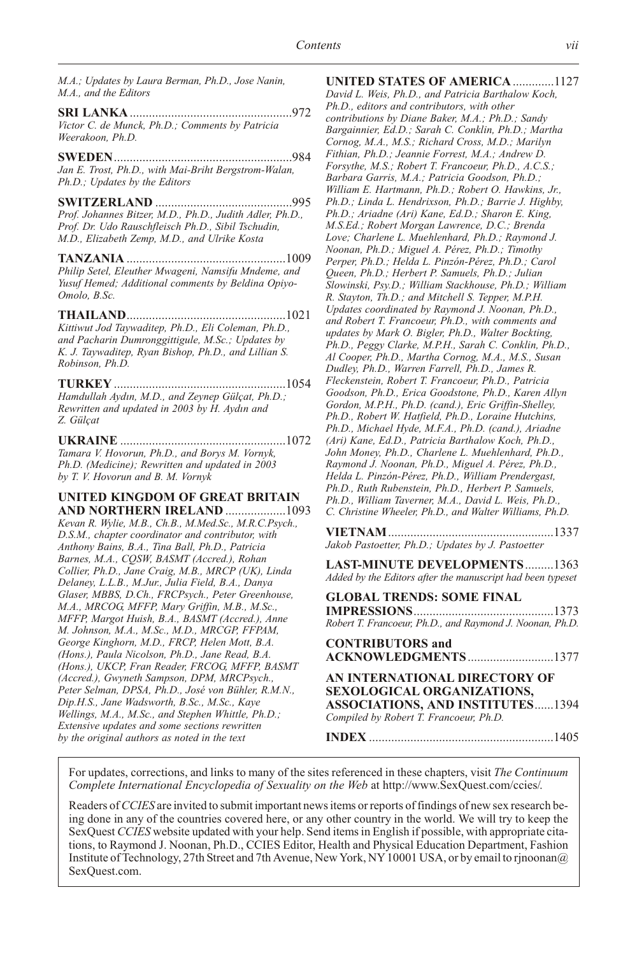*M.A.; Updates by Laura Berman, Ph.D., Jose Nanin, M.A., and the Editors*

**SRI LANKA**...................................................972 *Victor C. de Munck, Ph.D.; Comments by Patricia Weerakoon, Ph.D.*

**SWEDEN**........................................................984 *Jan E. Trost, Ph.D., with Mai-Briht Bergstrom-Walan, Ph.D.; Updates by the Editors*

**SWITZERLAND** ...........................................995 *Prof. Johannes Bitzer, M.D., Ph.D., Judith Adler, Ph.D., Prof. Dr. Udo Rauschfleisch Ph.D., Sibil Tschudin, M.D., Elizabeth Zemp, M.D., and Ulrike Kosta*

**TANZANIA** ..................................................1009 *Philip Setel, Eleuther Mwageni, Namsifu Mndeme, and Yusuf Hemed; Additional comments by Beldina Opiyo-Omolo, B.Sc.*

**THAILAND**..................................................1021 *Kittiwut Jod Taywaditep, Ph.D., Eli Coleman, Ph.D., and Pacharin Dumronggittigule, M.Sc.; Updates by K. J. Taywaditep, Ryan Bishop, Ph.D., and Lillian S. Robinson, Ph.D.*

**TURKEY**......................................................1054 *Hamdullah Aydýn, M.D., and Zeynep Gülçat, Ph.D.; Rewritten and updated in 2003 by H. Aydın and Z. Gülçat*

**UKRAINE** ....................................................1072 *Tamara V. Hovorun, Ph.D., and Borys M. Vornyk, Ph.D. (Medicine); Rewritten and updated in 2003 by T. V. Hovorun and B. M. Vornyk*

#### **UNITED KINGDOM OF GREAT BRITAIN AND NORTHERN IRELAND** ...................1093

*Kevan R. Wylie, M.B., Ch.B., M.Med.Sc., M.R.C.Psych., D.S.M., chapter coordinator and contributor, with Anthony Bains, B.A., Tina Ball, Ph.D., Patricia Barnes, M.A., CQSW, BASMT (Accred.), Rohan Collier, Ph.D., Jane Craig, M.B., MRCP (UK), Linda Delaney, L.L.B., M.Jur., Julia Field, B.A., Danya Glaser, MBBS, D.Ch., FRCPsych., Peter Greenhouse, M.A., MRCOG, MFFP, Mary Griffin, M.B., M.Sc., MFFP, Margot Huish, B.A., BASMT (Accred.), Anne M. Johnson, M.A., M.Sc., M.D., MRCGP, FFPAM, George Kinghorn, M.D., FRCP, Helen Mott, B.A. (Hons.), Paula Nicolson, Ph.D., Jane Read, B.A. (Hons.), UKCP, Fran Reader, FRCOG, MFFP, BASMT (Accred.), Gwyneth Sampson, DPM, MRCPsych., Peter Selman, DPSA, Ph.D., José von Bühler, R.M.N., Dip.H.S., Jane Wadsworth, B.Sc., M.Sc., Kaye Wellings, M.A., M.Sc., and Stephen Whittle, Ph.D.; Extensive updates and some sections rewritten by the original authors as noted in the text*

**UNITED STATES OF AMERICA**.............1127 *David L. Weis, Ph.D., and Patricia Barthalow Koch, Ph.D., editors and contributors, with other contributions by Diane Baker, M.A.; Ph.D.; Sandy Bargainnier, Ed.D.; Sarah C. Conklin, Ph.D.; Martha Cornog, M.A., M.S.; Richard Cross, M.D.; Marilyn Fithian, Ph.D.; Jeannie Forrest, M.A.; Andrew D. Forsythe, M.S.; Robert T. Francoeur, Ph.D., A.C.S.; Barbara Garris, M.A.; Patricia Goodson, Ph.D.; William E. Hartmann, Ph.D.; Robert O. Hawkins, Jr., Ph.D.; Linda L. Hendrixson, Ph.D.; Barrie J. Highby, Ph.D.; Ariadne (Ari) Kane, Ed.D.; Sharon E. King, M.S.Ed.; Robert Morgan Lawrence, D.C.; Brenda Love; Charlene L. Muehlenhard, Ph.D.; Raymond J. Noonan, Ph.D.; Miguel A. Pérez, Ph.D.; Timothy Perper, Ph.D.; Helda L. Pinzón-Pérez, Ph.D.; Carol Queen, Ph.D.; Herbert P. Samuels, Ph.D.; Julian Slowinski, Psy.D.; William Stackhouse, Ph.D.; William R. Stayton, Th.D.; and Mitchell S. Tepper, M.P.H. Updates coordinated by Raymond J. Noonan, Ph.D., and Robert T. Francoeur, Ph.D., with comments and updates by Mark O. Bigler, Ph.D., Walter Bockting, Ph.D., Peggy Clarke, M.P.H., Sarah C. Conklin, Ph.D., Al Cooper, Ph.D., Martha Cornog, M.A., M.S., Susan Dudley, Ph.D., Warren Farrell, Ph.D., James R. Fleckenstein, Robert T. Francoeur, Ph.D., Patricia Goodson, Ph.D., Erica Goodstone, Ph.D., Karen Allyn Gordon, M.P.H., Ph.D. (cand.), Eric Griffin-Shelley, Ph.D., Robert W. Hatfield, Ph.D., Loraine Hutchins, Ph.D., Michael Hyde, M.F.A., Ph.D. (cand.), Ariadne (Ari) Kane, Ed.D., Patricia Barthalow Koch, Ph.D., John Money, Ph.D., Charlene L. Muehlenhard, Ph.D., Raymond J. Noonan, Ph.D., Miguel A. Pérez, Ph.D., Helda L. Pinzón-Pérez, Ph.D., William Prendergast, Ph.D., Ruth Rubenstein, Ph.D., Herbert P. Samuels, Ph.D., William Taverner, M.A., David L. Weis, Ph.D., C. Christine Wheeler, Ph.D., and Walter Williams, Ph.D.*

**VIETNAM**....................................................1337 *Jakob Pastoetter, Ph.D.; Updates by J. Pastoetter*

**LAST-MINUTE DEVELOPMENTS**.........1363 *Added by the Editors after the manuscript had been typeset*

#### **GLOBAL TRENDS: SOME FINAL IMPRESSIONS**............................................1373

*Robert T. Francoeur, Ph.D., and Raymond J. Noonan, Ph.D.*

**CONTRIBUTORS and ACKNOWLEDGMENTS**...........................1377

**AN INTERNATIONAL DIRECTORY OF SEXOLOGICAL ORGANIZATIONS, ASSOCIATIONS, AND INSTITUTES**......1394 *Compiled by Robert T. Francoeur, Ph.D.*

**INDEX** ..........................................................1405

For updates, corrections, and links to many of the sites referenced in these chapters, visit *The Continuum Complete International Encyclopedia of Sexuality on the Web* at http://www.SexQuest.com/ccies/.

Readers of *CCIES* are invited to submit important news items or reports of findings of new sex research being done in any of the countries covered here, or any other country in the world. We will try to keep the SexQuest *CCIES* website updated with your help. Send items in English if possible, with appropriate citations, to Raymond J. Noonan, Ph.D., CCIES Editor, Health and Physical Education Department, Fashion Institute of Technology, 27th Street and 7th Avenue, New York, NY 10001 USA, or by email to rjnoonan $@$ SexQuest.com.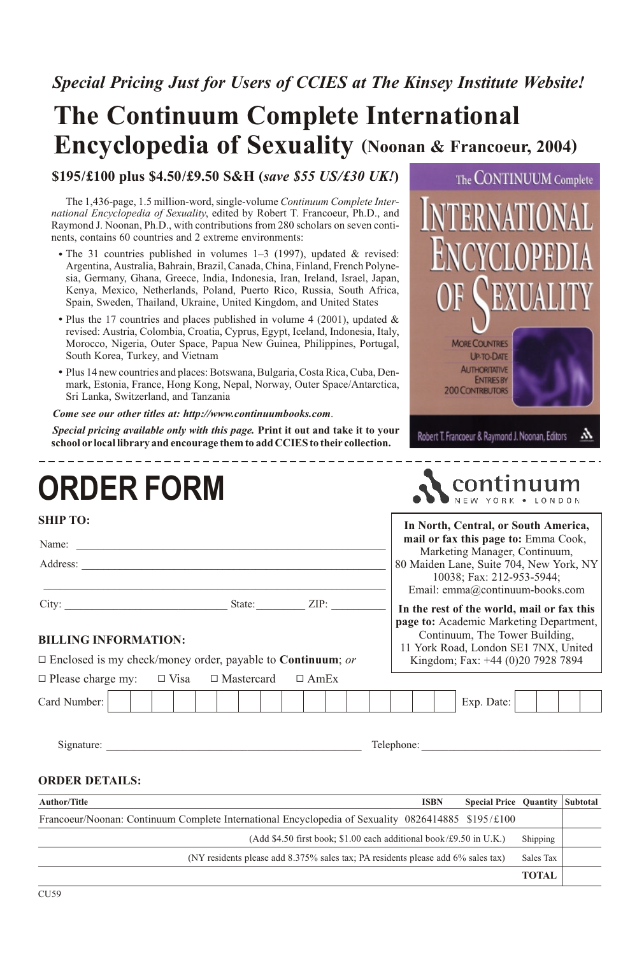# **The Continuum Complete International Encyclopedia of Sexuality (Noonan & Francoeur, 2004)**

**\$195/£100 plus \$4.50/£9.50 S&H (***save \$55 US/£30 UK!***)**

The 1,436-page, 1.5 million-word, single-volume *Continuum Complete Inte national Encyclopedia of Sexuality*, edited by Robert T. Francoeur, Ph.D., an Raymond J. Noonan, Ph.D., with contributions from 280 scholars on seven cont nents, contains 60 countries and 2 extreme environments:

- The 31 countries published in volumes  $1-3$  (1997), updated & revised Argentina, Australia, Bahrain, Brazil, Canada, China, Finland, French Polyne sia, Germany, Ghana, Greece, India, Indonesia, Iran, Ireland, Israel, Japan Kenya, Mexico, Netherlands, Poland, Puerto Rico, Russia, South Africa Spain, Sweden, Thailand, Ukraine, United Kingdom, and United States
- Plus the 17 countries and places published in volume 4 (2001), updated revised: Austria, Colombia, Croatia, Cyprus, Egypt, Iceland, Indonesia, Ital Morocco, Nigeria, Outer Space, Papua New Guinea, Philippines, Portuga South Korea, Turkey, and Vietnam
- Plus 14 new countries and places: Botswana, Bulgaria, Costa Rica, Cuba, Der mark, Estonia, France, Hong Kong, Nepal, Norway, Outer Space/Antarctica Sri Lanka, Switzerland, and Tanzania

Come see our other titles at: http://www.continuumbooks.com.

Name:

*Spe cial pric ing avail able only with this page.* **Print it out and take it to your** school or local library and encourage them to add CCIES to their collection.

\_\_\_\_\_\_\_\_\_\_\_\_\_\_\_\_\_\_\_\_\_\_\_\_\_\_\_\_\_\_\_\_\_\_\_\_\_\_\_\_\_\_\_\_\_\_\_\_\_\_\_\_\_\_\_\_\_\_\_\_\_\_\_ City: State:  $ZIP$ :

 $\Box$  Enclosed is my check/money order, payable to **Continuum**; *or*  $\Box$  Please charge my:  $\Box$  Visa  $\Box$  Mastercard  $\Box$  AmEx

# **ORDER FORM**

**BILLING INFORMATION:** 

| !)                | The CONTINUUM Complete                                                                                                                                                                                                   |
|-------------------|--------------------------------------------------------------------------------------------------------------------------------------------------------------------------------------------------------------------------|
| $r-$<br>ıd<br>ti- | INTERNATIONAL                                                                                                                                                                                                            |
| d:<br>$e-$<br>n,  | <b>ENCYCLOPEDIA</b>                                                                                                                                                                                                      |
| a,<br>&<br>y,     | OF CEXUALITY                                                                                                                                                                                                             |
| ıl.<br>n-<br>a,   | <b>MORE COUNTRIES</b><br><b>UP-TO-DATE</b><br><b>AUTHORITATIVE</b><br><b>ENTRIES BY</b>                                                                                                                                  |
| ır                | <b>200 CONTRIBUTORS</b><br>Robert T. Francoeur 8. Raymond J. Noonan, Editors                                                                                                                                             |
|                   | continuum<br>N F W<br>YORK<br>LONDON                                                                                                                                                                                     |
|                   | In North, Central, or South America,<br>mail or fax this page to: Emma Cook,<br>Marketing Manager, Continuum,<br>80 Maiden Lane, Suite 704, New York, NY<br>10038; Fax: 212-953-5944;<br>Email: emma@continuum-books.com |
|                   | In the rest of the world, mail or fax this<br>page to: Academic Marketing Department,<br>Continuum, The Tower Building,<br>11 York Road, London SE1 7NX, United<br>Kingdom; Fax: +44 (0)20 7928 7894                     |
|                   | Exp. Date:                                                                                                                                                                                                               |

Card Number:

**SHIP TO:**

Address:

#### **ORDER DETAILS:**

| Author/Title                                                                                       | <b>ISBN</b> | Special Price Quantity |              | <b>Subtotal</b> |
|----------------------------------------------------------------------------------------------------|-------------|------------------------|--------------|-----------------|
| Francoeur/Noonan: Continuum Complete International Encyclopedia of Sexuality 0826414885 \$195/£100 |             |                        |              |                 |
| $(Add $4.50$ first book; \$1.00 each additional book/£9.50 in U.K.)                                |             |                        | Shipping     |                 |
| (NY residents please add 8.375% sales tax; PA residents please add 6% sales tax)                   |             |                        | Sales Tax    |                 |
|                                                                                                    |             |                        | <b>TOTAL</b> |                 |

Sig na ture: \_\_\_\_\_\_\_\_\_\_\_\_\_\_\_\_\_\_\_\_\_\_\_\_\_\_\_\_\_\_\_\_\_\_\_\_\_\_\_\_\_\_\_\_\_\_\_ Tele phone: \_\_\_\_\_\_\_\_\_\_\_\_\_\_\_\_\_\_\_\_\_\_\_\_\_\_\_\_\_\_\_\_\_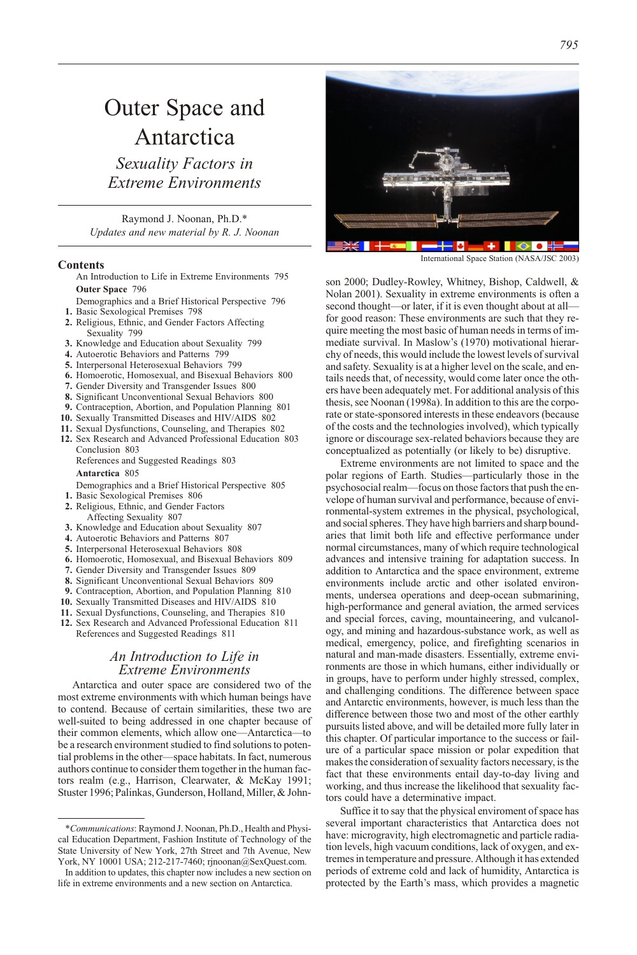## Outer Space and Antarctica

Con tin uum Sexuality Outer Space: D PerspectiveComem plete ographics and a Bri In ter na tion al En cy clo pe dia ef Historicalof

*Sexuality Factors in Extreme Environments*

Raymond J. Noonan, Ph.D.\* *Updates and new material by R. J. Noonan*

#### **Contents**

- An Introduction to Life in Extreme Environments 795 **Outer Space** 796
- Demographics and a Brief Historical Perspective 796 **1.** Basic Sexological Premises 798
- **2.** Religious, Ethnic, and Gender Factors Affecting Sexuality 799
- **3.** Knowledge and Education about Sexuality 799
- **4.** Autoerotic Behaviors and Patterns 799
- **5.** Interpersonal Heterosexual Behaviors 799
- **6.** Homoerotic, Homosexual, and Bisexual Behaviors 800
- **7.** Gender Diversity and Transgender Issues 800
- **8.** Significant Unconventional Sexual Behaviors 800
- **9.** Contraception, Abortion, and Population Planning 801
- **10.** Sexually Transmitted Diseases and HIV/AIDS 802
- **11.** Sexual Dysfunctions, Counseling, and Therapies 802
- **12.** Sex Research and Advanced Professional Education 803 Conclusion 803
	- References and Suggested Readings 803 **Antarctica** 805
	- Demographics and a Brief Historical Perspective 805
- **1.** Basic Sexological Premises 806
- **2.** Religious, Ethnic, and Gender Factors Affecting Sexuality 807
- **3.** Knowledge and Education about Sexuality 807
- **4.** Autoerotic Behaviors and Patterns 807
- **5.** Interpersonal Heterosexual Behaviors 808
- **6.** Homoerotic, Homosexual, and Bisexual Behaviors 809
- **7.** Gender Diversity and Transgender Issues 809
- **8.** Significant Unconventional Sexual Behaviors 809
- **9.** Contraception, Abortion, and Population Planning 810
- **10.** Sexually Transmitted Diseases and HIV/AIDS 810
- **11.** Sexual Dysfunctions, Counseling, and Therapies 810
- **12.** Sex Research and Advanced Professional Education 811 References and Suggested Readings 811

#### *An Introduction to Life in Extreme Environments*

Antarctica and outer space are considered two of the most extreme environments with which human beings have to contend. Because of certain similarities, these two are well-suited to being addressed in one chapter because of their common elements, which allow one—Antarctica—to be a research environment studied to find solutions to potential problems in the other—space habitats. In fact, numerous au thors continue to consider them together in the human factors realm (e.g., Harrison, Clearwater, & McKay 1991; Stuster 1996; Palinkas, Gunderson, Holland, Miller, & John-



International Space Station (NASA/JSC 2003)

son 2000; Dudley-Rowley, Whitney, Bishop, Caldwell, & Nolan 2001). Sexuality in extreme environments is often a second thought—or later, if it is even thought about at allfor good reason: These environments are such that they require meeting the most basic of human needs in terms of immediate survival. In Maslow's (1970) motivational hierarchy of needs, this would include the lowest levels of survival and safety. Sexuality is at a higher level on the scale, and entails needs that, of necessity, would come later once the others have been adequately met. For additional analysis of this thesis, see Noonan (1998a). In addition to this are the corporate or state-sponsored interests in these endeavors (because of the costs and the technologies involved), which typically ignore or discourage sex-related behaviors because they are conceptualized as potentially (or likely to be) disruptive.

Extreme environments are not limited to space and the polar regions of Earth. Studies—particularly those in the psychosocial realm—focus on those factors that push the envelope of human survival and performance, because of environmental-system extremes in the physical, psychological, and social spheres. They have high barriers and sharp boundaries that limit both life and effective performance under normal circum stances, many of which require technological advances and intensive training for adaptation success. In addition to Antarctica and the space environment, extreme environments include arctic and other isolated environments, undersea operations and deep-ocean submarining, high-performance and general aviation, the armed services and special forces, caving, mountaineering, and vulcanology, and mining and hazardous-substance work, as well as medical, emergency, police, and firefighting scenarios in natural and man-made disasters. Essentially, extreme environ ments are those in which humans, either individually or in groups, have to perform under highly stressed, complex, and challenging conditions. The difference between space and Antarctic environments, however, is much less than the difference between those two and most of the other earthly pur suits listed above, and will be detailed more fully later in this chapter. Of particular importance to the success or failure of a particular space mission or polar expedition that makes the consideration of sexuality factors necessary, is the fact that these environments entail day-to-day living and working, and thus increase the likelihood that sexuality factors could have a determinative impact.

Suffice it to say that the physical enviroment of space has several important characteristics that Antarctica does not have: microgravity, high electromagnetic and particle radiation levels, high vacuum conditions, lack of oxygen, and extremes in temperature and pressure. Although it has extended periods of extreme cold and lack of humidity, Antarctica is protected by the Earth's mass, which provides a magnetic

<sup>\*</sup>*Com mu ni ca tions*: Raymond J. Noonan, Ph.D., Health and Phys i cal Education Department, Fashion Institute of Technology of the State University of New York, 27th Street and 7th Avenue, New York, NY 10001 USA; 212-217-7460; rjnoonan@SexQuest.com.

In addition to updates, this chapter now includes a new section on life in extreme environments and a new section on Antarctica.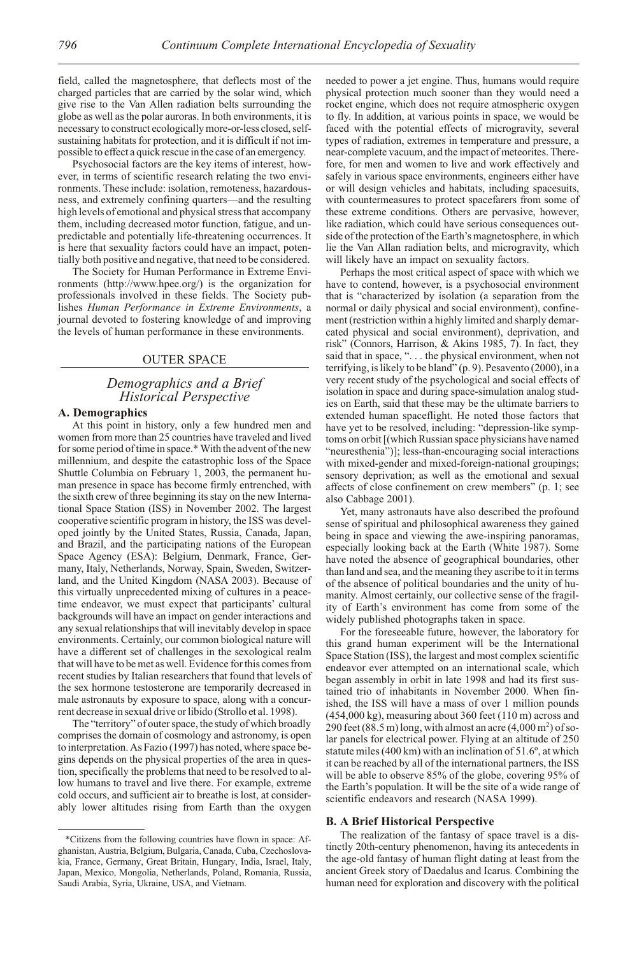field, called the magnetosphere, that deflects most of the charged particles that are carried by the solar wind, which give rise to the Van Allen radiation belts surrounding the globe as well as the polar auroras. In both environments, it is necessary to construct ecologically more-or-less closed, selfsustaining habitats for protection, and it is difficult if not impossible to effect a quick rescue in the case of an emergency.

Psychosocial factors are the key items of interest, however, in terms of scientific research relating the two environments. These include: isolation, remoteness, hazardousness, and extremely confining quarters—and the resulting high levels of emotional and physical stress that accompany them, including decreased motor function, fatigue, and unpredictable and potentially life-threatening occurrences. It is here that sexuality factors could have an impact, potentially both positive and negative, that need to be considered.

The Society for Human Performance in Extreme Environments (http://www.hpee.org/) is the organization for professionals involved in these fields. The Society publishes *Human Performance in Extreme Environments*, a journal devoted to fostering knowledge of and improving the levels of human performance in these environments.

#### OUTER SPACE

#### *Demographics and a Brief Historical Perspective*

#### **A. Demographics**

At this point in history, only a few hundred men and women from more than 25 countries have traveled and lived for some period of time in space.\* With the advent of the new millennium, and despite the catastrophic loss of the Space Shuttle Columbia on February 1, 2003, the permanent human presence in space has become firmly entrenched, with the sixth crew of three beginning its stay on the new International Space Station (ISS) in November 2002. The largest cooperative scientific program in history, the ISS was developed jointly by the United States, Russia, Canada, Japan, and Brazil, and the participating nations of the European Space Agency (ESA): Belgium, Denmark, France, Germany, Italy, Netherlands, Norway, Spain, Sweden, Switzerland, and the United Kingdom (NASA 2003). Because of this virtually unprecedented mixing of cultures in a peacetime endeavor, we must expect that participants' cultural backgrounds will have an impact on gender interactions and any sexual relationships that will inevitably develop in space environments. Certainly, our common biological nature will have a different set of challenges in the sexological realm that will have to be met as well. Evidence for this comes from recent studies by Italian researchers that found that levels of the sex hormone testosterone are temporarily decreased in male astronauts by exposure to space, along with a concurrent decrease in sexual drive or libido (Strollo et al. 1998).

The "territory" of outer space, the study of which broadly comprises the domain of cosmology and astronomy, is open to interpretation. As Fazio (1997) has noted, where space begins depends on the physical properties of the area in question, specifically the problems that need to be resolved to allow humans to travel and live there. For example, extreme cold occurs, and sufficient air to breathe is lost, at considerably lower altitudes rising from Earth than the oxygen

needed to power a jet engine. Thus, humans would require physical protection much sooner than they would need a rocket engine, which does not require atmospheric oxygen to fly. In addition, at various points in space, we would be faced with the potential effects of microgravity, several types of radiation, extremes in temperature and pressure, a near-complete vacuum, and the impact of meteorites. Therefore, for men and women to live and work effectively and safely in various space environments, engineers either have or will design vehicles and habitats, including spacesuits, with countermeasures to protect spacefarers from some of these extreme conditions. Others are pervasive, however, like radiation, which could have serious consequences outside of the protection of the Earth's magnetosphere, in which lie the Van Allan radiation belts, and microgravity, which will likely have an impact on sexuality factors.

Perhaps the most critical aspect of space with which we have to contend, however, is a psychosocial environment that is "characterized by isolation (a separation from the normal or daily physical and social environment), confinement (restriction within a highly limited and sharply demarcated physical and social environment), deprivation, and risk" (Connors, Harrison, & Akins 1985, 7). In fact, they said that in space, "... the physical environment, when not terrifying, is likely to be bland"  $(p, 9)$ . Pesavento  $(2000)$ , in a very recent study of the psychological and social effects of isolation in space and during space-simulation analog studies on Earth, said that these may be the ultimate barriers to extended human spaceflight. He noted those factors that have yet to be resolved, including: "depression-like symptoms on orbit [(which Russian space physicians have named "neuresthenia")]; less-than-encouraging social interactions with mixed-gender and mixed-foreign-national groupings; sensory deprivation; as well as the emotional and sexual affects of close confinement on crew members" (p. 1; see also Cabbage 2001).

Yet, many astronauts have also described the profound sense of spiritual and philosophical awareness they gained being in space and viewing the awe-inspiring panoramas, especially looking back at the Earth (White 1987). Some have noted the absence of geographical boundaries, other than land and sea, and the meaning they as cribe to it in terms of the absence of political boundaries and the unity of humanity. Almost certainly, our collective sense of the fragility of Earth's environment has come from some of the widely published photographs taken in space.

For the fore see able future, however, the laboratory for this grand human experiment will be the International Space Station (ISS), the largest and most complex scientific endeavor ever attempted on an international scale, which began assembly in orbit in late 1998 and had its first sustained trio of inhabitants in November 2000. When finished, the ISS will have a mass of over 1 million pounds  $(454,000 \text{ kg})$ , measuring about 360 feet  $(110 \text{ m})$  across and 290 feet (88.5 m) long, with almost an acre  $(4,000 \text{ m}^2)$  of solar panels for electrical power. Flying at an altitude of 250 statute miles (400 km) with an inclination of  $51.6^\circ$ , at which it can be reached by all of the international partners, the ISS will be able to observe 85% of the globe, covering 95% of the Earth's population. It will be the site of a wide range of scientific endeavors and research (NASA 1999).

#### **B. A Brief Historical Perspective**

The realization of the fantasy of space travel is a distinctly 20th-century phenomenon, having its antecedents in the age-old fantasy of human flight dating at least from the ancient Greek story of Daedalus and Icarus. Combining the human need for exploration and discovery with the political

<sup>\*</sup>Citizens from the following countries have flown in space: Afghanistan, Austria, Belgium, Bulgaria, Canada, Cuba, Czechoslovakia, France, Germany, Great Britain, Hungary, India, Israel, Italy, Japan, Mexico, Mongolia, Netherlands, Poland, Romania, Russia, Saudi Arabia, Syria, Ukraine, USA, and Vietnam.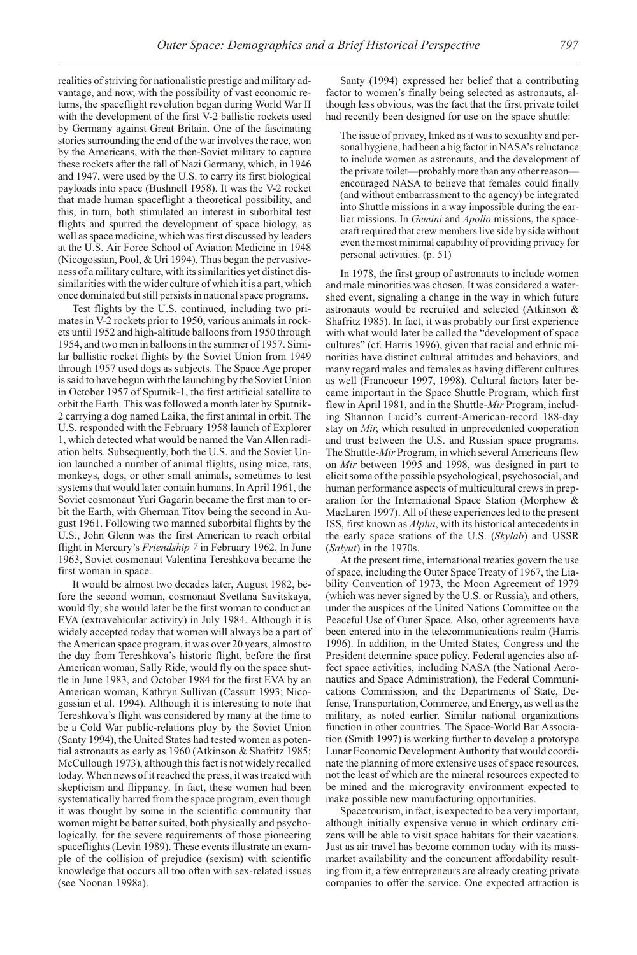realities of striving for nationalistic prestige and military advantage, and now, with the possibility of vast economic returns, the spaceflight revolution began during World War II with the development of the first V-2 ballistic rockets used by Germany against Great Britain. One of the fascinating stories surrounding the end of the war involves the race, won by the Americans, with the then-Soviet military to capture these rockets after the fall of Nazi Germany, which, in 1946 and 1947, were used by the U.S. to carry its first biological payloads into space (Bushnell 1958). It was the V-2 rocket that made human spaceflight a theoretical possibility, and this, in turn, both stimulated an interest in suborbital test flights and spurred the development of space biology, as well as space medicine, which was first discussed by leaders at the U.S. Air Force School of Aviation Medicine in 1948 (Nicogossian, Pool,  $&$  Uri 1994). Thus began the pervasiveness of a military culture, with its similarities yet distinct dissimilarities with the wider culture of which it is a part, which once dominated but still persists in national space programs.

Test flights by the U.S. continued, including two primates in V-2 rockets prior to 1950, various animals in rockets until 1952 and high-altitude balloons from 1950 through 1954, and two men in balloons in the summer of 1957. Similar ballistic rocket flights by the Soviet Union from 1949 through 1957 used dogs as subjects. The Space Age proper is said to have begun with the launching by the Soviet Union in October 1957 of Sputnik-1, the first artificial satellite to orbit the Earth. This was followed a month later by Sputnik-2 carrying a dog named Laika, the first animal in orbit. The U.S. responded with the February 1958 launch of Explorer 1, which detected what would be named the Van Allen radiation belts. Subsequently, both the U.S. and the Soviet Union launched a number of animal flights, using mice, rats, monkeys, dogs, or other small animals, sometimes to test systems that would later contain humans. In April 1961, the Soviet cosmonaut Yuri Gagarin became the first man to orbit the Earth, with Gherman Titov being the second in August 1961. Following two manned suborbital flights by the U.S., John Glenn was the first American to reach orbital flight in Mercury's *Friendship* 7 in February 1962. In June 1963, Soviet cosmonaut Valentina Teresh kova became the first woman in space.

It would be almost two decades later, August 1982, before the second woman, cosmonaut Svetlana Savitskaya, would fly; she would later be the first woman to conduct an EVA (extravehicular activity) in July 1984. Although it is widely accepted today that women will always be a part of the American space program, it was over 20 years, almost to the day from Tereshkova's historic flight, before the first American woman, Sally Ride, would fly on the space shuttle in June 1983, and October 1984 for the first EVA by an American woman, Kathryn Sullivan (Cassutt 1993; Nicogossian et al. 1994). Although it is interesting to note that Tereshkova's flight was considered by many at the time to be a Cold War public-relations ploy by the Soviet Union (Santy 1994), the United States had tested women as potential astronauts as early as  $1960$  (Atkinson & Shafritz 1985; McCullough 1973), although this fact is not widely recalled to day. When news of it reached the press, it was treated with skepticism and flippancy. In fact, these women had been systematically barred from the space program, even though it was thought by some in the scientific community that women might be better suited, both physically and psychologically, for the severe requirements of those pioneering space flights (Levin 1989). These events illustrate an example of the collision of prejudice (sexism) with scientific knowledge that occurs all too often with sex-related issues (see Noonan 1998a).

Santy (1994) expressed her belief that a contributing factor to women's finally being selected as astronauts, although less obvious, was the fact that the first private toilet had recently been designed for use on the space shuttle:

The issue of privacy, linked as it was to sexuality and personal hygiene, had been a big factor in NASA's reluctance to include women as astronauts, and the development of the private toilet—probably more than any other reason encouraged NASA to believe that females could finally (and without embarrassment to the agency) be integrated into Shuttle missions in a way impossible during the earlier missions. In *Gemini* and *Apollo* missions, the spacecraft required that crew members live side by side without even the most minimal capability of providing privacy for personal activities. (p. 51)

In 1978, the first group of astronauts to include women and male minorities was chosen. It was considered a watershed event, signaling a change in the way in which future astronauts would be recruited and selected (Atkinson & Shafritz 1985). In fact, it was probably our first experience with what would later be called the "development of space" cultures" (cf. Harris 1996), given that racial and ethnic minorities have distinct cultural attitudes and behaviors, and many regard males and females as having different cultures as well (Francoeur 1997, 1998). Cultural factors later became important in the Space Shuttle Program, which first flew in April 1981, and in the Shuttle-Mir Program, including Shannon Lucid's current-American-record 188-day stay on *Mir*, which resulted in unprecedented cooperation and trust between the U.S. and Russian space programs. The Shuttle-*Mir* Program, in which several Americans flew on *Mir* between 1995 and 1998, was designed in part to elicit some of the possible psychological, psychosocial, and human performance aspects of multicultural crews in preparation for the International Space Station (Morphew  $\&$ MacLaren 1997). All of these experiences led to the present ISS, first known as *Alpha*, with its historical antecedents in the early space stations of the U.S. (*Skylab*) and USSR (*Salyut*) in the 1970s.

At the present time, international treaties govern the use of space, including the Outer Space Treaty of 1967, the Liability Convention of 1973, the Moon Agreement of 1979 (which was never signed by the U.S. or Russia), and others, under the auspices of the United Nations Committee on the Peaceful Use of Outer Space. Also, other agreements have been entered into in the telecommunications realm (Harris 1996). In addition, in the United States, Congress and the President determine space policy. Federal agencies also affect space activities, including NASA (the National Aeronautics and Space Administration), the Federal Communications Commission, and the Departments of State, Defense, Transportation, Commerce, and Energy, as well as the military, as noted earlier. Similar national organizations function in other countries. The Space-World Bar Association (Smith 1997) is working further to develop a prototype Lunar Economic Development Authority that would coordinate the planning of more extensive uses of space resources, not the least of which are the mineral resources expected to be mined and the microgravity environment expected to make possible new manufacturing opportunities.

Space tourism, in fact, is expected to be a very important, although initially expensive venue in which ordinary citizens will be able to visit space habitats for their vacations. Just as air travel has become common today with its massmarket availability and the concurrent affordability resulting from it, a few entrepreneurs are already creating private companies to offer the service. One expected attraction is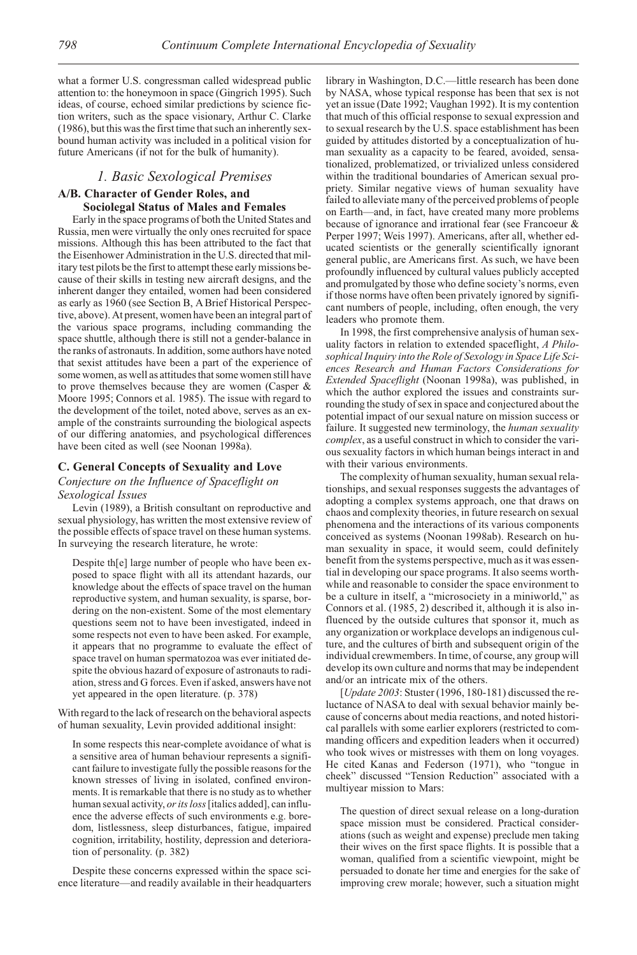what a former U.S. congressman called widespread public attention to: the honeymoon in space (Gingrich 1995). Such ideas, of course, echoed similar predictions by science fiction writers, such as the space visionary, Arthur C. Clarke  $(1986)$ , but this was the first time that such an inherently sexbound human activity was included in a political vision for future Americans (if not for the bulk of humanity).

#### *1. Basic Sexological Premises* **A/B. Character of Gender Roles, and Sociolegal Status of Males and Females**

Early in the space programs of both the United States and Russia, men were virtually the only ones recruited for space missions. Although this has been attributed to the fact that the Eisenhower Administration in the U.S. directed that military test pilots be the first to attempt these early missions because of their skills in testing new aircraft designs, and the inherent danger they entailed, women had been considered as early as 1960 (see Section B, A Brief Historical Perspective, above). At present, women have been an integral part of the various space programs, including commanding the space shuttle, although there is still not a gender-balance in the ranks of astronauts. In addition, some authors have noted that sexist attitudes have been a part of the experience of some women, as well as attitudes that some women still have to prove themselves because they are women (Casper  $\&$ Moore 1995; Connors et al. 1985). The issue with regard to the development of the toilet, noted above, serves as an example of the constraints surrounding the biological aspects of our differing anatomies, and psychological differences have been cited as well (see Noonan 1998a).

#### **C. General Concepts of Sexuality and Love**

*Conjecture on the Influence of Spaceflight on Sexological Issues*

Levin (1989), a British consultant on reproductive and sexual physiology, has written the most extensive review of the possible effects of space travel on these human systems. In surveying the research literature, he wrote:

Despite th[e] large number of people who have been exposed to space flight with all its attendant hazards, our knowledge about the effects of space travel on the human reproductive system, and human sexuality, is sparse, bordering on the non-existent. Some of the most elementary questions seem not to have been investigated, indeed in some respects not even to have been asked. For example, it appears that no programme to evaluate the effect of space travel on human spermatozoa was ever initiated despite the obvious hazard of exposure of astronauts to radiation, stress and G forces. Even if asked, answers have not yet appeared in the open literature. (p. 378)

With regard to the lack of research on the behavioral aspects of human sexuality, Levin provided additional insight:

In some respects this near-complete avoidance of what is a sensitive area of human behaviour represents a significant failure to investigate fully the possible reasons for the known stresses of living in isolated, confined environments. It is remarkable that there is no study as to whether human sexual activity, *or its loss* [italics added], can influence the adverse effects of such environments e.g. boredom, listlessness, sleep disturbances, fatigue, impaired cognition, irritability, hostility, depression and deterioration of personality. (p. 382)

Despite these concerns expressed within the space science literature—and readily available in their headquarters

library in Washington, D.C.—little research has been done by NASA, whose typical response has been that sex is not yet an issue (Date 1992; Vaughan 1992). It is my contention that much of this official response to sexual expression and to sexual research by the U.S. space establishment has been guided by attitudes distorted by a conceptualization of human sexuality as a capacity to be feared, avoided, sensationalized, problematized, or trivialized unless considered within the traditional boundaries of American sexual propriety. Similar negative views of human sexuality have failed to alleviate many of the perceived problems of people on Earth—and, in fact, have created many more problems because of ignorance and irrational fear (see Francoeur  $\&$ Perper 1997; Weis 1997). Americans, after all, whether educated scientists or the generally scientifically ignorant general public, are Americans first. As such, we have been profoundly influenced by cultural values publicly accepted and promulgated by those who define society's norms, even if those norms have often been privately ignored by significant numbers of people, including, often enough, the very leaders who promote them.

In 1998, the first comprehensive analysis of human sexuality factors in relation to extended spaceflight, *A Philo*sophical Inquiry into the Role of Sexology in Space Life Sciences Research and Human Factors Considerations for *Extended Spaceflight* (Noonan 1998a), was published, in which the author explored the issues and constraints surrounding the study of sex in space and conjectured about the potential impact of our sexual nature on mission success or failure. It suggested new terminology, the *human sexuality complex*, as a useful construct in which to consider the various sexuality factors in which human beings interact in and with their various environments.

The complexity of human sexuality, human sexual relation ships, and sexual responses suggests the advantages of adopting a complex systems approach, one that draws on chaos and complexity theories, in future research on sexual phenomena and the interactions of its various components conceived as systems (Noonan 1998ab). Research on human sexuality in space, it would seem, could definitely benefit from the systems perspective, much as it was essential in developing our space programs. It also seems worthwhile and reasonable to consider the space environment to be a culture in itself, a "microsociety in a miniworld," as Connors et al. (1985, 2) described it, although it is also influenced by the outside cultures that sponsor it, much as any organization or work place develops an indige nous culture, and the cultures of birth and subsequent origin of the individual crewmembers. In time, of course, any group will de velop its own culture and norms that may be independent and/or an intricate mix of the others.

[*Update 2003*: Stuster (1996, 180-181) discussed the reluctance of NASA to deal with sexual behavior mainly because of concerns about media reactions, and noted historical parallels with some earlier explorers (restricted to commanding officers and expedition leaders when it occurred) who took wives or mistresses with them on long voyages. He cited Kanas and Federson (1971), who "tongue in cheek" discussed "Tension Reduction" associated with a multiyear mission to Mars:

The question of direct sexual release on a long-duration space mission must be considered. Practical considerations (such as weight and expense) preclude men taking their wives on the first space flights. It is possible that a woman, qualified from a scientific viewpoint, might be per suaded to donate her time and energies for the sake of improving crew morale; however, such a situation might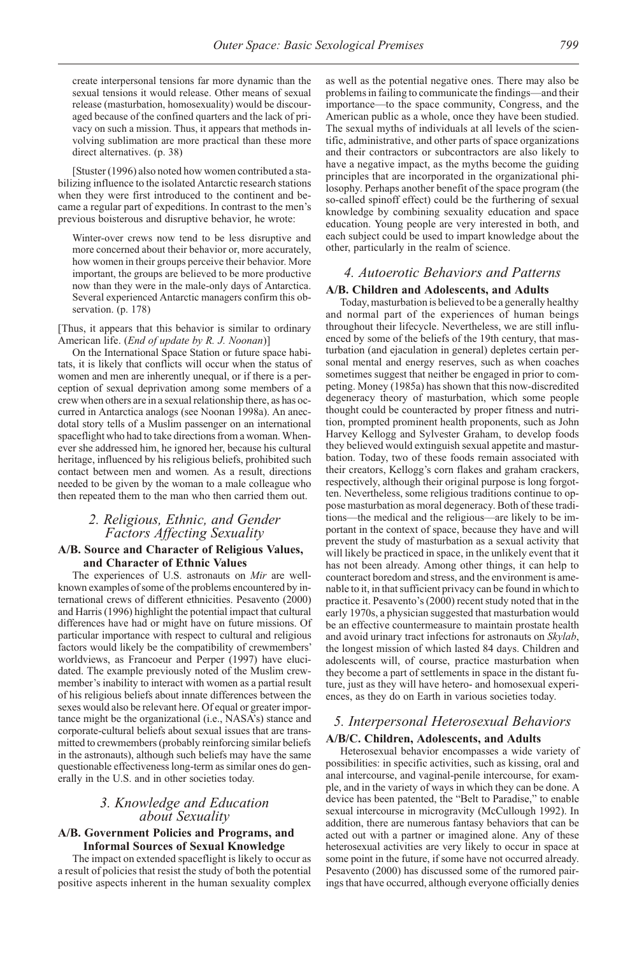create interpersonal tensions far more dynamic than the sexual tensions it would release. Other means of sexual release (masturbation, homosexuality) would be discouraged because of the confined quarters and the lack of privacy on such a mission. Thus, it appears that methods involving sublimation are more practical than these more direct alternatives. (p. 38)

[Stuster (1996) also noted how women contributed a stabilizing influence to the isolated Antarctic research stations when they were first introduced to the continent and became a regular part of expeditions. In contrast to the men's previous boisterous and disruptive behavior, he wrote:

Winter-over crews now tend to be less disruptive and more concerned about their behavior or, more accurately, how women in their groups perceive their behavior. More important, the groups are believed to be more productive now than they were in the male-only days of Antarctica. Several experienced Antarctic managers confirm this observation. (p. 178)

[Thus, it appears that this behavior is similar to ordinary American life. (*End of update by R. J. Noonan*)]

On the International Space Station or future space habitats, it is likely that conflicts will occur when the status of women and men are inherently unequal, or if there is a perception of sexual deprivation among some members of a crew when others are in a sexual relationship there, as has occurred in Antarctica analogs (see Noonan 1998a). An anecdotal story tells of a Muslim passenger on an international space flight who had to take directions from a woman. Whenever she addressed him, he ignored her, because his cultural heritage, influenced by his religious beliefs, prohibited such contact between men and women. As a result, directions needed to be given by the woman to a male colleague who then repeated them to the man who then carried them out.

#### *2. Religious, Ethnic, and Gender Factors Affecting Sexuality*

#### **A/B. Source and Character of Religious Values, and Character of Ethnic Values**

The experiences of U.S. astronauts on *Mir* are wellknown examples of some of the problems encountered by international crews of different ethnicities. Pesavento (2000) and Harris (1996) highlight the potential impact that cultural differences have had or might have on future missions. Of particular importance with respect to cultural and religious factors would likely be the compatibility of crewmembers' worldviews, as Francoeur and Perper (1997) have elucidated. The example previously noted of the Muslim crewmember's inability to interact with women as a partial result of his religious beliefs about innate differences between the sexes would also be relevant here. Of equal or greater importance might be the organizational (i.e., NASA's) stance and corporate-cultural beliefs about sexual issues that are transmitted to crewmembers (probably reinforcing similar beliefs in the astronauts), although such beliefs may have the same questionable effectiveness long-term as similar ones do generally in the U.S. and in other societies today.

#### *3. Knowledge and Education about Sexuality*

#### **A/B. Government Policies and Programs, and Informal Sources of Sexual Knowledge**

The impact on extended spaceflight is likely to occur as a result of policies that resist the study of both the potential positive aspects inherent in the human sexuality complex as well as the potential negative ones. There may also be problems in failing to communicate the findings—and their importance—to the space community, Congress, and the American public as a whole, once they have been studied. The sexual myths of individuals at all levels of the scientific, administrative, and other parts of space organizations and their contractors or subcontractors are also likely to have a negative impact, as the myths become the guiding principles that are incorporated in the organizational philosophy. Perhaps another benefit of the space program (the so-called spin off effect) could be the furthering of sexual knowledge by combining sexuality education and space education. Young people are very interested in both, and each subject could be used to impart knowledge about the other, particularly in the realm of science.

#### *4. Autoerotic Behaviors and Patterns*

#### **A/B. Children and Adolescents, and Adults**

Today, masturbation is believed to be a generally healthy and normal part of the experiences of human beings throughout their lifecycle. Nevertheless, we are still influenced by some of the beliefs of the 19th century, that masturbation (and ejaculation in general) depletes certain personal mental and energy reserves, such as when coaches sometimes suggest that neither be engaged in prior to competing. Money (1985a) has shown that this now-discredited degeneracy theory of masturbation, which some people thought could be counteracted by proper fitness and nutrition, prompted prominent health proponents, such as John Harvey Kellogg and Sylvester Graham, to develop foods they be lieved would extinguish sexual appetite and masturbation. Today, two of these foods remain associated with their creators, Kellogg's corn flakes and graham crackers, respectively, although their original purpose is long forgotten. Nevertheless, some religious traditions continue to oppose masturbation as moral degeneracy. Both of these traditions—the medical and the religious—are likely to be important in the context of space, because they have and will prevent the study of masturbation as a sexual activity that will likely be practiced in space, in the unlikely event that it has not been already. Among other things, it can help to counteract boredom and stress, and the environment is amenable to it, in that sufficient privacy can be found in which to practice it. Pesavento's (2000) recent study noted that in the early 1970s, a physician suggested that masturbation would be an effective countermeasure to maintain prostate health and avoid urinary tract infections for astronauts on *Skylab*, the longest mission of which lasted 84 days. Children and adolescents will, of course, practice masturbation when they become a part of settlements in space in the distant future, just as they will have hetero- and homosexual experiences, as they do on Earth in various societies today.

#### *5. Interpersonal Heterosexual Behaviors* **A/B/C. Children, Adolescents, and Adults**

Heterosexual behavior encompasses a wide variety of possibilities: in specific activities, such as kissing, oral and anal intercourse, and vaginal-penile intercourse, for example, and in the variety of ways in which they can be done. A device has been patented, the "Belt to Paradise," to enable sexual intercourse in microgravity (McCullough 1992). In addition, there are numerous fantasy behaviors that can be acted out with a partner or imagined alone. Any of these heterosexual activities are very likely to occur in space at some point in the future, if some have not occurred already. Pesavento (2000) has discussed some of the rumored pairings that have occurred, although everyone officially denies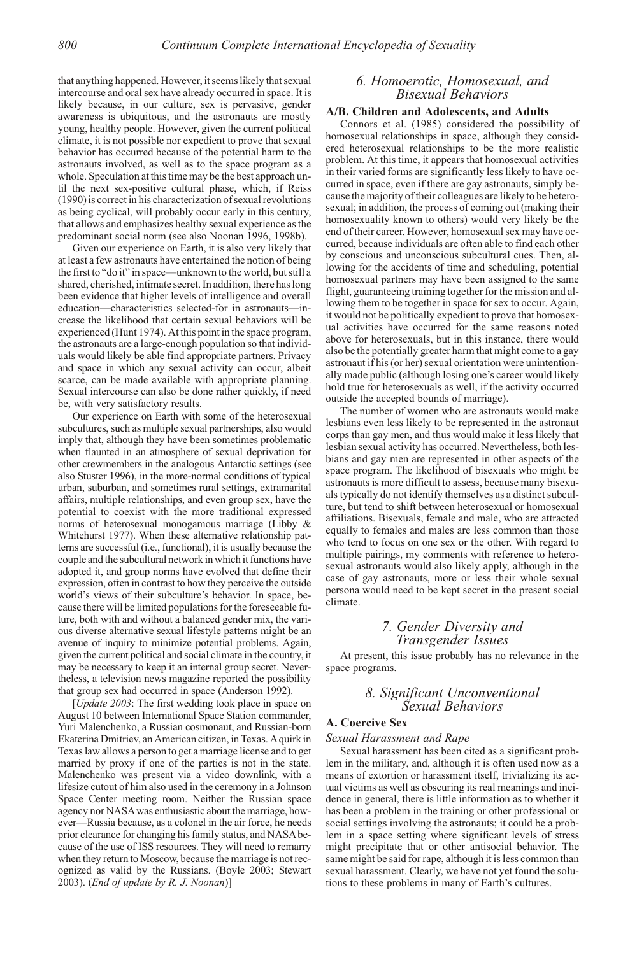that anything happened. However, it seems likely that sexual intercourse and oral sex have already occurred in space. It is likely because, in our culture, sex is pervasive, gender awareness is ubiquitous, and the astronauts are mostly young, healthy people. However, given the current political climate, it is not possible nor expedient to prove that sexual behavior has occurred because of the potential harm to the astronauts involved, as well as to the space program as a whole. Speculation at this time may be the best approach until the next sex-positive cultural phase, which, if Reiss  $(1990)$  is correct in his characterization of sexual revolutions as being cyclical, will probably occur early in this century, that allows and emphasizes healthy sexual experience as the predominant social norm (see also Noonan 1996, 1998b).

Given our experience on Earth, it is also very likely that at least a few astronauts have entertained the notion of being the first to "do it" in space—un known to the world, but still a shared, cherished, intimate secret. In addition, there has long been evidence that higher levels of intelligence and overall education—characteristics selected-for in astronauts—increase the like lihood that certain sexual behaviors will be experienced (Hunt 1974). At this point in the space program, the astronauts are a large-enough population so that individuals would likely be able find appropriate partners. Privacy and space in which any sexual activity can occur, albeit scarce, can be made available with appropriate planning. Sexual intercourse can also be done rather quickly, if need be, with very satisfactory results.

Our experience on Earth with some of the heterosexual subcultures, such as multiple sexual partnerships, also would imply that, although they have been sometimes problematic when flaunted in an atmosphere of sexual deprivation for other crewmembers in the analogous Antarctic settings (see also Stuster 1996), in the more-normal conditions of typical urban, suburban, and sometimes rural settings, extramarital affairs, multiple relationships, and even group sex, have the potential to coexist with the more traditional expressed norms of heterosexual monogamous marriage (Libby  $\&$ Whitehurst 1977). When these alternative relationship patterns are successful (i.e., functional), it is usually because the couple and the subcultural network in which it functions have adopted it, and group norms have evolved that define their expression, often in contrast to how they perceive the outside world's views of their subculture's behavior. In space, because there will be limited populations for the fore see able future, both with and without a balanced gender mix, the various diverse alternative sexual lifestyle patterns might be an avenue of inquiry to minimize potential problems. Again, given the current political and social climate in the country, it may be necessary to keep it an internal group secret. Nevertheless, a television news magazine reported the possibility that group sex had occurred in space (Anderson 1992).

[*Update 2003*: The first wedding took place in space on August 10 between International Space Station commander, Yuri Malenchenko, a Russian cosmonaut, and Russian-born Ekaterina Dmitriev, an American citizen, in Texas. A quirk in Texas law allows a person to get a marriage license and to get married by proxy if one of the parties is not in the state. Malenchenko was present via a video downlink, with a lifesize cutout of him also used in the ceremony in a Johnson Space Center meeting room. Neither the Russian space agency nor NASA was enthusiastic about the marriage, however—Russia because, as a colonel in the air force, he needs prior clearance for changing his family status, and NASA because of the use of ISS resources. They will need to remarry when they return to Moscow, because the marriage is not recognized as valid by the Russians. (Boyle 2003; Stewart 2003). (*End of update by R. J. Noonan*)]

#### *6. Homoerotic, Homosexual, and Bisexual Behaviors*

#### **A/B. Children and Adolescents, and Adults**

Connors et al. (1985) considered the possibility of homosexual relationships in space, although they considered heterosexual relationships to be the more realistic problem. At this time, it appears that homosexual activities in their varied forms are significantly less likely to have occurred in space, even if there are gay astronauts, simply because the majority of their colleagues are likely to be heterosexual; in addition, the process of coming out (making their homosexuality known to others) would very likely be the end of their career. However, homosexual sex may have occurred, because individuals are often able to find each other by conscious and unconscious subcultural cues. Then, allowing for the accidents of time and scheduling, potential homosexual partners may have been assigned to the same flight, guaranteeing training together for the mission and allowing them to be together in space for sex to occur. Again, it would not be politically expedient to prove that homosexual activities have occurred for the same reasons noted above for heterosexuals, but in this instance, there would also be the potentially greater harm that might come to a gay astronaut if his (or her) sexual orientation were unintentionally made public (although losing one's career would likely hold true for heterosexuals as well, if the activity occurred outside the accepted bounds of marriage).

The number of women who are astronauts would make lesbians even less likely to be represented in the astronaut corps than gay men, and thus would make it less likely that lesbian sexual activity has occurred. Nevertheless, both lesbians and gay men are represented in other aspects of the space program. The likelihood of bisexuals who might be astronauts is more difficult to assess, because many bisexuals typically do not identify themselves as a distinct subculture, but tend to shift between heterosexual or homosexual affiliations. Bisexuals, female and male, who are attracted equally to females and males are less common than those who tend to focus on one sex or the other. With regard to multiple pairings, my comments with reference to heterosexual astronauts would also likely apply, although in the case of gay astronauts, more or less their whole sexual persona would need to be kept secret in the present social climate.

#### *7. Gender Diversity and Transgender Issues*

At present, this issue probably has no relevance in the space programs.

#### *8. Significant Unconventional Sexual Behaviors*

#### **A. Coercive Sex**

#### *Sexual Harassment and Rape*

Sexual harassment has been cited as a significant problem in the military, and, although it is often used now as a means of extortion or harassment itself, trivializing its actual victims as well as obscuring its real meanings and incidence in general, there is little information as to whether it has been a problem in the training or other professional or social settings involving the astronauts; it could be a problem in a space setting where significant levels of stress might precipitate that or other antisocial behavior. The same might be said for rape, although it is less common than sexual harassment. Clearly, we have not yet found the solutions to these problems in many of Earth's cultures.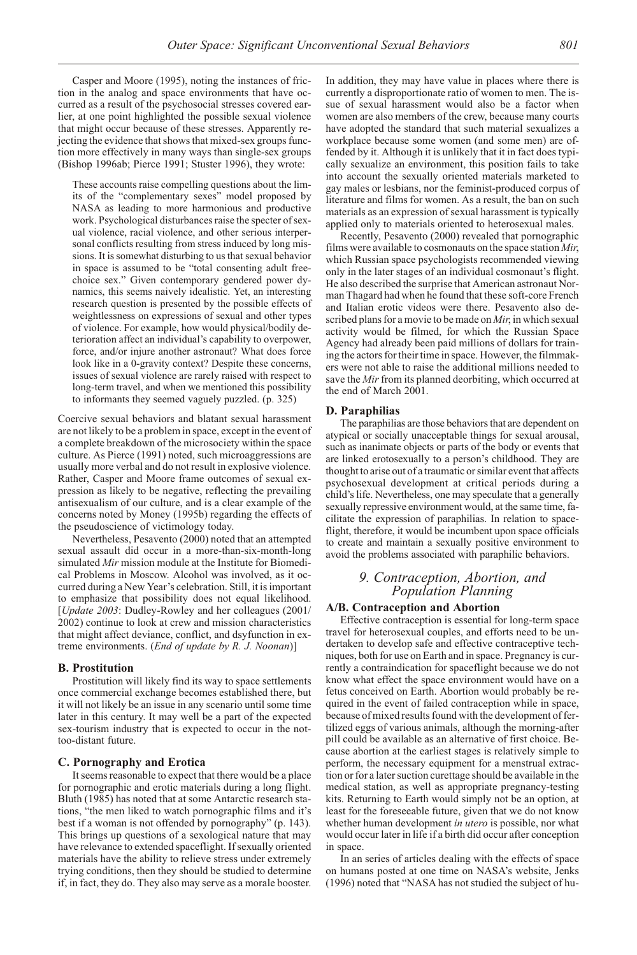Casper and Moore (1995), noting the instances of friction in the analog and space environments that have occurred as a result of the psychosocial stresses covered earlier, at one point highlighted the possible sexual violence that might occur because of these stresses. Apparently rejecting the evidence that shows that mixed-sex groups function more effectively in many ways than single-sex groups (Bishop 1996ab; Pierce 1991; Stuster 1996), they wrote:

These accounts raise compelling questions about the limits of the "complementary sexes" model proposed by NASA as leading to more harmonious and productive work. Psychological disturbances raise the specter of sexual violence, racial violence, and other serious interpersonal conflicts resulting from stress induced by long missions. It is somewhat disturbing to us that sexual behavior in space is assumed to be "total consenting adult freechoice sex." Given contemporary gendered power dynamics, this seems naively idealistic. Yet, an interesting re search question is presented by the possible effects of weightlessness on expressions of sexual and other types of violence. For example, how would physical/bodily deterioration affect an individual's capability to overpower, force, and/or injure another astronaut? What does force look like in a 0-gravity context? Despite these concerns, issues of sexual violence are rarely raised with respect to long-term travel, and when we mentioned this possibility to informants they seemed vaguely puzzled. (p. 325)

Coercive sexual behaviors and blatant sexual harassment are not likely to be a problem in space, except in the event of a complete breakdown of the microsociety within the space culture. As Pierce (1991) noted, such microaggressions are usually more verbal and do not result in explosive violence. Rather, Casper and Moore frame outcomes of sexual expression as likely to be negative, reflecting the prevailing antisexualism of our culture, and is a clear example of the concerns noted by Money (1995b) regarding the effects of the pseudoscience of victimology today.

Nevertheless, Pesavento (2000) noted that an attempted sexual assault did occur in a more-than-six-month-long simulated *Mir* mission module at the Institute for Biomedical Problems in Moscow. Alcohol was involved, as it occurred during a New Year's celebration. Still, it is important to emphasize that possibility does not equal like lihood. [*Update 2003*: Dudley-Rowley and her colleagues (2001/ 2002) continue to look at crew and mission characteristics that might affect deviance, conflict, and dsyfunction in extreme environments. (*End of update by R. J. Noonan*)]

#### **B. Prostitution**

Prostitution will likely find its way to space settlements once commercial exchange becomes established there, but it will not likely be an issue in any scenario until some time later in this century. It may well be a part of the expected sex-tourism industry that is expected to occur in the nottoo-distant future.

#### **C. Pornography and Erotica**

It seems reasonable to expect that there would be a place for pornographic and erotic materials during a long flight. Bluth (1985) has noted that at some Antarctic research stations, "the men liked to watch pornographic films and it's best if a woman is not offended by pornography" (p. 143). This brings up questions of a sexological nature that may have relevance to extended spaceflight. If sexually oriented materials have the ability to relieve stress under extremely trying conditions, then they should be studied to determine if, in fact, they do. They also may serve as a morale booster.

In addition, they may have value in places where there is currently a disproportionate ratio of women to men. The issue of sexual harassment would also be a factor when women are also members of the crew, because many courts have adopted the standard that such material sexualizes a workplace because some women (and some men) are offended by it. Although it is unlikely that it in fact does typically sexualize an environment, this position fails to take into account the sexually oriented materials marketed to gay males or lesbians, nor the feminist-produced corpus of literature and films for women. As a result, the ban on such materials as an expression of sexual harassment is typically applied only to materials oriented to heterosexual males.

Recently, Pesavento (2000) revealed that pornographic films were available to cosmonauts on the space station *Mir*, which Russian space psychologists recommended viewing only in the later stages of an individual cosmonaut's flight. He also described the surprise that American astronaut Norman Thagard had when he found that these soft-core French and Italian erotic videos were there. Pesavento also described plans for a movie to be made on *Mir*, in which sexual activity would be filmed, for which the Russian Space Agency had already been paid millions of dollars for training the actors for their time in space. However, the filmmakers were not able to raise the additional millions needed to save the *Mir* from its planned deorbiting, which occurred at the end of March 2001.

#### **D. Paraphilias**

The paraphilias are those behaviors that are dependent on atypical or socially unacceptable things for sexual arousal, such as in an imate objects or parts of the body or events that are linked erotosexually to a person's childhood. They are thought to arise out of a traumatic or similar event that affects psy chosexual devel opment at critical periods during a child's life. Nevertheless, one may speculate that a generally sexually repressive environment would, at the same time, facilitate the expression of paraphilias. In relation to spaceflight, therefore, it would be incumbent upon space officials to create and maintain a sexually positive environment to avoid the problems associated with paraphilic behaviors.

#### *9. Contraception, Abortion, and Population Planning*

#### **A/B. Contraception and Abortion**

Effective contraception is essential for long-term space travel for heterosexual couples, and efforts need to be undertaken to develop safe and effective contraceptive techniques, both for use on Earth and in space. Pregnancy is currently a contraindication for spaceflight because we do not know what effect the space environment would have on a fetus conceived on Earth. Abortion would probably be required in the event of failed contraception while in space, because of mixed results found with the development of fertilized eggs of various animals, although the morning-after pill could be available as an alternative of first choice. Because abortion at the earliest stages is relatively simple to perform, the necessary equipment for a menstrual extraction or for a later suction curettage should be available in the medical station, as well as appropriate pregnancy-testing kits. Returning to Earth would simply not be an option, at least for the fore seeable future, given that we do not know whether human development *in utero* is possible, nor what would occur later in life if a birth did occur after conception in space.

In an series of articles dealing with the effects of space on humans posted at one time on NASA's website, Jenks (1996) noted that "NASA has not studied the subject of hu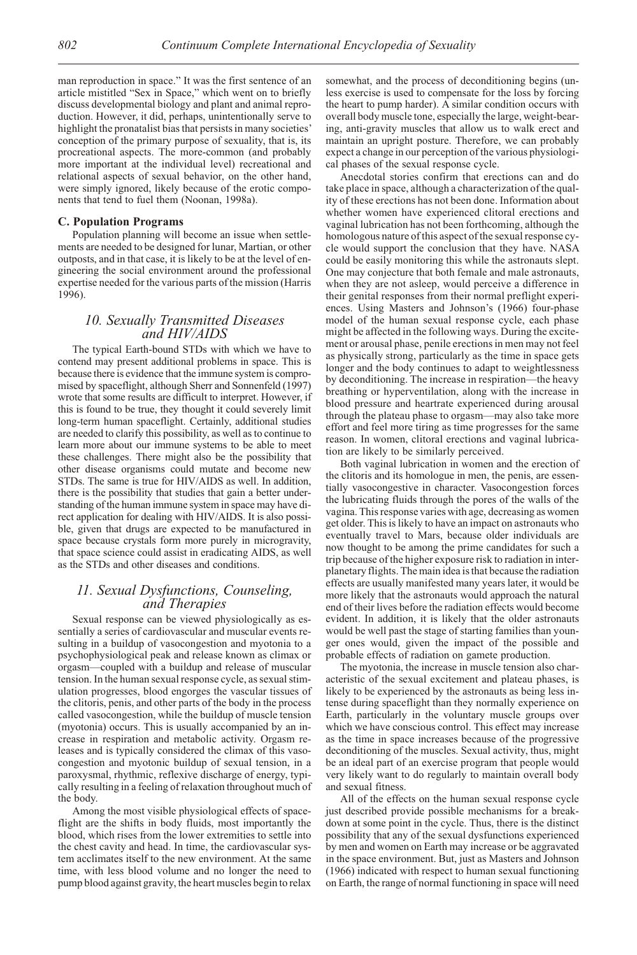man reproduction in space." It was the first sentence of an article mistitled "Sex in Space," which went on to briefly discuss developmental biology and plant and animal reproduction. However, it did, perhaps, unintentionally serve to high light the pronatalist bias that persists in many societies' conception of the primary purpose of sexuality, that is, its procreational aspects. The more-common (and probably more important at the individual level) recreational and relational aspects of sexual behavior, on the other hand, were simply ignored, likely because of the erotic components that tend to fuel them (Noonan, 1998a).

#### **C. Population Programs**

Population planning will become an issue when settlements are needed to be designed for lunar, Martian, or other outposts, and in that case, it is likely to be at the level of engineering the social environment around the professional expertise needed for the various parts of the mission (Harris  $1996$ ).

#### *10. Sexually Transmitted Diseases and HIV/AIDS*

The typical Earth-bound STDs with which we have to contend may present additional problems in space. This is because there is evidence that the immune system is compromised by space flight, al though Sherr and Sonnenfeld (1997) wrote that some results are difficult to interpret. However, if this is found to be true, they thought it could severely limit long-term human space flight. Certainly, additional studies are needed to clarify this possibility, as well as to continue to learn more about our immune systems to be able to meet these challenges. There might also be the possibility that other disease organisms could mutate and become new STDs. The same is true for HIV/AIDS as well. In addition, there is the possibility that studies that gain a better understanding of the human immune system in space may have direct application for dealing with HIV/AIDS. It is also possible, given that drugs are expected to be manufactured in space because crystals form more purely in microgravity, that space science could assist in eradicating AIDS, as well as the STDs and other diseases and conditions.

#### *11. Sexual Dysfunctions, Counseling, and Therapies*

Sexual response can be viewed physiologically as essentially a series of cardiovascular and muscular events resulting in a buildup of vasocongestion and myotonia to a psychophysiological peak and release known as climax or orgasm—coupled with a buildup and release of muscular tension. In the human sexual response cycle, as sexual stimulation progresses, blood engorges the vascular tissues of the clitoris, penis, and other parts of the body in the process called vasocongestion, while the buildup of muscle tension (myotonia) occurs. This is usually accompanied by an increase in respiration and metabolic activity. Orgasm releases and is typically considered the climax of this vasocongestion and myotonic buildup of sexual tension, in a paroxysmal, rhythmic, reflexive discharge of energy, typically resulting in a feeling of relaxation throughout much of the body.

Among the most visible physiological effects of spaceflight are the shifts in body fluids, most importantly the blood, which rises from the lower extremities to settle into the chest cavity and head. In time, the cardiovascular system acclimates itself to the new environment. At the same time, with less blood volume and no longer the need to pump blood against gravity, the heart muscles begin to relax somewhat, and the process of deconditioning begins (unless exercise is used to compensate for the loss by forcing the heart to pump harder). A similar condition occurs with overall body muscle tone, especially the large, weight-bearing, anti-gravity muscles that allow us to walk erect and maintain an upright posture. Therefore, we can probably expect a change in our perception of the various physiological phases of the sexual response cycle.

Anecdotal stories confirm that erections can and do take place in space, although a characterization of the quality of these erections has not been done. Information about whether women have experienced clitoral erections and vaginal lubrication has not been forth coming, although the homologous nature of this aspect of the sexual response cycle would support the conclusion that they have. NASA could be easily monitoring this while the astronauts slept. One may conjecture that both female and male astronauts, when they are not asleep, would perceive a difference in their genital responses from their normal preflight experiences. Using Masters and Johnson's (1966) four-phase model of the human sexual response cycle, each phase might be affected in the following ways. During the excitement or arousal phase, penile erections in men may not feel as physically strong, particularly as the time in space gets longer and the body continues to adapt to weight lessness by deconditioning. The increase in respiration—the heavy breathing or hyperventilation, along with the increase in blood pressure and heartrate experienced during arousal through the plateau phase to orgasm—may also take more effort and feel more tiring as time progresses for the same reason. In women, clitoral erections and vaginal lubrication are likely to be similarly perceived.

Both vaginal lubrication in women and the erection of the clitoris and its homologue in men, the penis, are essentially vasocongestive in character. Vasocongestion forces the lubricating fluids through the pores of the walls of the vagina. This response varies with age, decreasing as women get older. This is likely to have an impact on astronauts who eventually travel to Mars, because older individuals are now thought to be among the prime candidates for such a trip because of the higher exposure risk to radiation in interplan etary flights. The main idea is that be cause the radiation effects are usually manifested many years later, it would be more likely that the astronauts would approach the natural end of their lives before the radiation effects would become evident. In addition, it is likely that the older astronauts would be well past the stage of starting families than younger ones would, given the impact of the possible and probable effects of radiation on gamete production.

The myotonia, the increase in muscle tension also characteristic of the sexual excitement and plateau phases, is likely to be experienced by the astronauts as being less intense during spaceflight than they normally experience on Earth, particularly in the voluntary muscle groups over which we have conscious control. This effect may increase as the time in space increases because of the progressive deconditioning of the muscles. Sexual activity, thus, might be an ideal part of an exercise program that people would very likely want to do regularly to maintain overall body and sexual fitness.

All of the effects on the human sexual response cycle just described provide possible mechanisms for a breakdown at some point in the cycle. Thus, there is the distinct possibility that any of the sexual dysfunctions experienced by men and women on Earth may increase or be aggravated in the space environment. But, just as Masters and Johnson  $(1966)$  indicated with respect to human sexual functioning on Earth, the range of normal functioning in space will need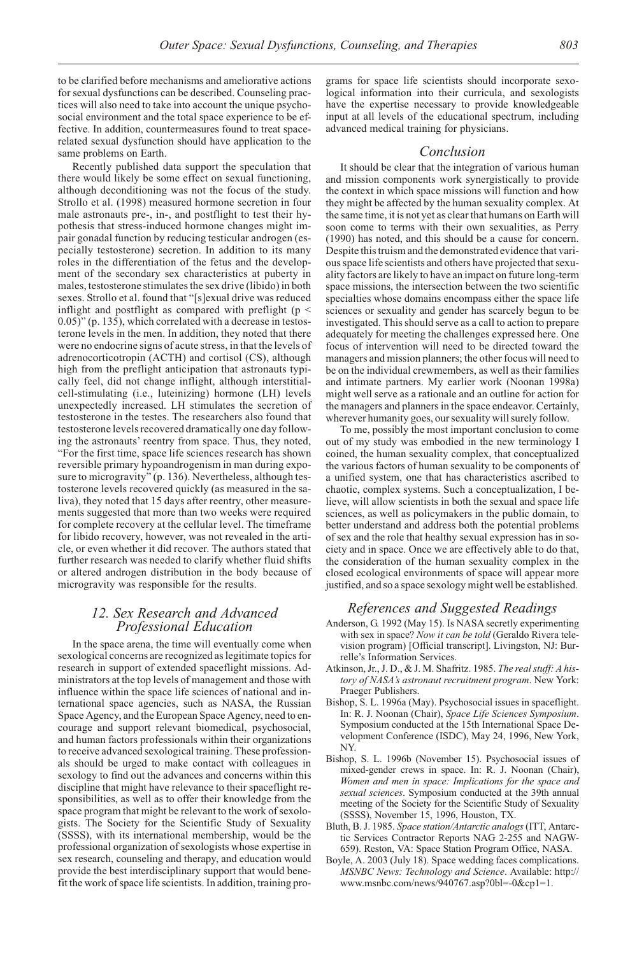to be clarified before mechanisms and ameliorative actions for sexual dysfunctions can be described. Counseling practices will also need to take into account the unique psycho social environment and the total space experience to be effective. In addition, countermeasures found to treat spacerelated sexual dysfunction should have application to the same problems on Earth.

Recently published data support the speculation that there would likely be some effect on sexual functioning, although deconditioning was not the focus of the study. Strollo et al. (1998) measured hormone secretion in four male astronauts pre-, in-, and postflight to test their hypothesis that stress-induced hormone changes might impair gonadal function by reducing testicular androgen (especially testosterone) secretion. In addition to its many roles in the differentiation of the fetus and the development of the secondary sex characteristics at puberty in males, testos terone stimulates the sex drive (libido) in both sexes. Strollo et al. found that "[s]exual drive was reduced inflight and postflight as compared with preflight ( $p <$  $(0.05)$ " (p. 135), which correlated with a decrease in testoster one levels in the men. In addition, they noted that there were no endocrine signs of acute stress, in that the levels of adrenocorticotropin (ACTH) and cortisol (CS), although high from the preflight anticipation that astronauts typically feel, did not change inflight, although interstitialcell-stimulating (i.e., luteinizing) hormone (LH) levels un expectedly increased. LH stimulates the secretion of testosterone in the testes. The researchers also found that tes tos ter one levels recovered dramatically one day following the astronauts' reentry from space. Thus, they noted, "For the first time, space life sciences research has shown reversible primary hypoandrogenism in man during exposure to microgravity" (p. 136). Nevertheless, although testosterone levels recovered quickly (as measured in the saliva), they noted that 15 days after reentry, other measurements suggested that more than two weeks were required for complete recovery at the cellular level. The timeframe for libido recovery, however, was not revealed in the article, or even whether it did recover. The authors stated that further research was needed to clarify whether fluid shifts or altered androgen distribution in the body because of microgravity was responsible for the results.

#### *12. Sex Research and Advanced Professional Education*

In the space arena, the time will eventually come when sexological concerns are recognized as legitimate topics for research in support of extended spaceflight missions. Administrators at the top levels of management and those with in fluence within the space life sciences of national and international space agencies, such as NASA, the Russian Space Agency, and the European Space Agency, need to encourage and support relevant biomedical, psychosocial, and human factors professionals within their organizations to receive advanced sexological training. These professionals should be urged to make contact with colleagues in sexology to find out the advances and concerns within this discipline that might have relevance to their spaceflight responsibilities, as well as to offer their knowledge from the space program that might be relevant to the work of sexologists. The Society for the Scientific Study of Sexuality (SSSS), with its international membership, would be the professional organization of sexologists whose expertise in sex research, counseling and therapy, and education would provide the best interdisciplinary support that would benefit the work of space life scientists. In addition, training pro-

grams for space life scientists should incorporate sexological information into their curricula, and sexologists have the expertise necessary to provide knowledgeable input at all levels of the educational spectrum, including advanced medical training for physicians.

#### *Conclusion*

It should be clear that the integration of various human and mission components work synergistically to provide the context in which space missions will function and how they might be affected by the human sexuality complex. At the same time, it is not yet as clear that humans on Earth will soon come to terms with their own sexualities, as Perry  $(1990)$  has noted, and this should be a cause for concern. Despite this truism and the demonstrated evidence that various space life scientists and others have projected that sexuality factors are likely to have an impact on future long-term space missions, the intersection between the two scientific special ties whose domains encompass either the space life sciences or sexuality and gender has scarcely begun to be investigated. This should serve as a call to action to prepare adequately for meeting the challenges expressed here. One focus of intervention will need to be directed toward the man agers and mission planners; the other focus will need to be on the individual crewmembers, as well as their families and intimate partners. My earlier work (Noonan 1998a) might well serve as a rationale and an outline for action for the managers and planners in the space endeavor. Certainly, wherever humanity goes, our sexuality will surely follow.

To me, possibly the most important conclusion to come out of my study was embodied in the new terminology I coined, the human sexuality complex, that conceptualized the various factors of human sexuality to be components of a unified system, one that has characteristics ascribed to chaotic, complex systems. Such a conceptualization, I believe, will allow scientists in both the sexual and space life sciences, as well as policymakers in the public domain, to better understand and address both the potential problems of sex and the role that healthy sex ual ex pres sion has in so ciety and in space. Once we are effectively able to do that, the consideration of the human sexuality complex in the closed ecological environments of space will appear more justified, and so a space sexology might well be established.

#### *References and Suggested Readings*

- Anderson, G. 1992 (May 15). Is NASA secretly experimenting with sex in space? Now it can be told (Geraldo Rivera television program) [Official transcript]. Livingston, NJ: Burrelle's Information Services.
- Atkinson, Jr., J. D., & J. M. Shafritz. 1985. *The real stuff: A his tory of NASA's astronaut recruitment program.* New York: Praeger Publishers.
- Bishop, S. L. 1996a (May). Psychosocial issues in spaceflight. In: R. J. Noonan (Chair), *Space Life Sciences Symposium*. Symposium conducted at the 15th International Space Development Conference (ISDC), May 24, 1996, New York, NY.
- Bishop, S. L. 1996b (November 15). Psychosocial issues of mixed-gender crews in space. In: R. J. Noonan (Chair), *Women and men in space: Implications for the space and sexual sciences*. Symposium conducted at the 39th annual meeting of the Society for the Scientific Study of Sexuality (SSSS), November 15, 1996, Houston, TX.
- Bluth, B. J. 1985. *Space station/Antarctic analogs* (ITT, Antarctic Services Contractor Reports NAG 2-255 and NAGW-659). Reston, VA: Space Station Program Office, NASA.
- Boyle, A. 2003 (July 18). Space wedding faces complications. *MSNBC News: Technology and Science. Available: http://* www.msnbc.com/news/940767.asp?0bl=-0&cp1=1.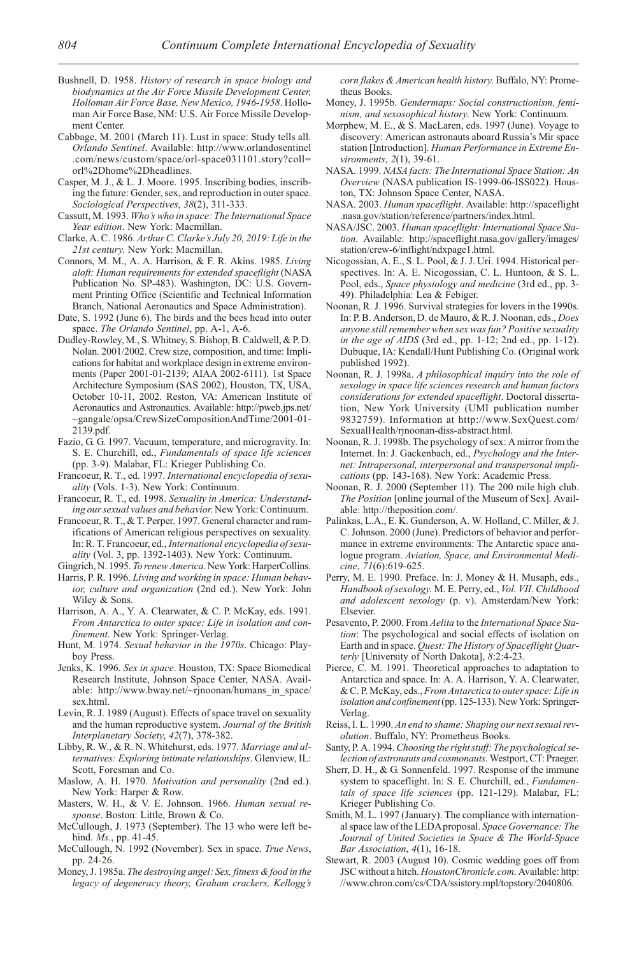- Bushnell, D. 1958. *History of research in space biology and biodynamics at the Air Force Missile Development Center, Holloman Air Force Base, New Mex ico, 1946-1958*. Hollo man Air Force Base, NM: U.S. Air Force Missile Development Center.
- Cabbage, M. 2001 (March 11). Lust in space: Study tells all. *Or lando Sen ti nel*. Avail able: http://www.orlandosentinel .com/news/cus tom/space/orl-space031101.story?coll= orl%2Dhome%2Dheadlines.
- Casper, M. J., & L. J. Moore. 1995. Inscribing bodies, inscribing the future: Gender, sex, and reproduction in outer space. *So cio log i cal Per spec tives*, *38*(2), 311-333.
- Cassutt, M. 1993. Who's who in space: The International Space Year edition. New York: Macmillan.
- Clarke, A. C. 1986. *Ar thur C. Clarke's July 20, 2019: Life in the 21st cen tury*. New York: Macmillan.
- Connors, M. M., A. A. Harrison, & F. R. Akins. 1985. *Living aloft: Hu man re quire ments for ex tended space flight* (NASA Publication No. SP-483). Washington, DC: U.S. Government Printing Office (Scientific and Technical Information Branch, National Aeronautics and Space Administration).
- Date, S. 1992 (June 6). The birds and the bees head into outer space. The Orlando Sentinel, pp. A-1, A-6.
- Dudley-Rowley, M., S. Whitney, S. Bishop, B. Caldwell, & P. D. Nolan. 2001/2002. Crew size, composition, and time: Implications for habitat and workplace design in extreme environments (Paper 2001-01-2139; AIAA 2002-6111). 1st Space Architecture Symposium (SAS 2002), Houston, TX, USA, October 10-11, 2002. Reston, VA: American Institute of Aeronautics and Astronautics. Available: http://pweb.jps.net/ ~gangale/opsa/CrewSizeCompositionAndTime/2001-01- 2139.pdf.
- Fazio, G. G. 1997. Vacuum, temperature, and microgravity. In: S. E. Churchill, ed., *Fundamentals of space life sciences* (pp. 3-9). Malabar, FL: Krieger Publishing Co.
- Francoeur, R. T., ed. 1997. *International encyclopedia of sexuality* (Vols. 1-3). New York: Continuum.
- Francoeur, R. T., ed. 1998. Sexuality in America: Understanding our sexual values and behavior. New York: Continuum.
- Francoeur, R. T., & T. Perper. 1997. General character and ramifications of American religious perspectives on sexuality. In: R. T. Francoeur, ed., *International encyclopedia of sexual ity* (Vol. 3, pp. 1392-1403). New York: Continuum.

Gingrich, N. 1995. *To renew America*. New York: HarperCollins.

- Harris, P. R. 1996. *Living and working in space: Human behav*ior, culture and organization (2nd ed.). New York: John Wiley & Sons.
- Harrison, A. A., Y. A. Clearwater, & C. P. McKay, eds. 1991. From Antarctica to outer space: Life in isolation and con*fine ment*. New York: Springer-Verlag.
- Hunt, M. 1974. *Sexual behavior in the 1970s*. Chicago: Playboy Press.
- Jenks, K. 1996. *Sex in space*. Houston, TX: Space Biomedical Research Institute, Johnson Space Center, NASA. Available: http://www.bway.net/~rjnoonan/humans\_in\_space/ sex.html.
- Levin, R. J. 1989 (August). Effects of space travel on sexuality and the human reproductive system. *Journal of the British In ter plan e tary So ci ety*, *42*(7), 378-382.
- Libby, R. W., & R. N. Whitehurst, eds. 1977. Marriage and al*ternatives: Exploring intimate relationships. Glenview, IL:* Scott, Foresman and Co.
- Maslow, A. H. 1970. Motivation and personality (2nd ed.). New York: Harper & Row.
- Masters, W. H., & V. E. Johnson. 1966. *Human sexual re*sponse. Boston: Little, Brown & Co.
- McCullough, J. 1973 (September). The 13 who were left behind. *Ms.*, pp. 41-45.
- McCullough, N. 1992 (November). Sex in space. True News, pp. 24-26.
- Money, J. 1985a. *The destroying angel: Sex, fitness & food in the leg acy of de gen er acy the ory, Gra ham crack ers, Kellogg's*

*corn flakes & American health history*. Buffalo, NY: Prometheus Books.

- Money, J. 1995b. *Gendermaps: So cial constructionism, fem i nism, and sexosophical history*. New York: Continuum.
- Morphew, M. E., & S. MacLaren, eds. 1997 (June). Voyage to discovery: American astronauts aboard Russia's Mir space station [Introduction]. *Human Performance in Extreme Envi ron ments*, *2*(1), 39-61.
- NASA. 1999. *NASA facts: The International Space Station: An Overview* (NASA publication IS-1999-06-ISS022). Houston, TX: Johnson Space Center, NASA.
- NASA. 2003. *Human spaceflight*. Available: http://spaceflight .nasa.gov/station/reference/partners/index.html.
- NASA/JSC. 2003. *Human spaceflight: International Space Sta*tion. Available: http://spaceflight.nasa.gov/gallery/images/ sta tion/crew-6/inflight/ndxpage1.html.
- Nicogossian, A. E., S. L. Pool, & J. J. Uri. 1994. Historical perspectives. In: A. E. Nicogossian, C. L. Huntoon, & S. L. Pool, eds., Space physiology and medicine (3rd ed., pp. 3-49). Philadelphia: Lea & Febiger.
- Noonan, R. J. 1996. Survival strategies for lovers in the 1990s. In: P. B. An der son, D. de Mauro, & R. J. Noonan, eds., *Does any one still re mem ber when sex was fun? Pos i tive sex u al ity in the age of AIDS* (3rd ed., pp. 1-12; 2nd ed., pp. 1-12). Dubuque, IA: Kendall/Hunt Publishing Co. (Original work published 1992).
- Noonan, R. J. 1998a. *A philosophical inquiry into the role of* sexology in space life sciences research and human factors *considerations for extended spaceflight*. Doctoral dissertation, New York University (UMI publication number 9832759). Information at http://www.SexQuest.com/ SexualHealth/rjnoonan-diss-ab stract.html.
- Noonan, R. J. 1998b. The psychology of sex: A mirror from the Internet. In: J. Gackenbach, ed., *Psychology and the Internet: Intrapersonal, interpersonal and transpersonal implications* (pp. 143-168). New York: Academic Press.
- Noonan, R. J. 2000 (September 11). The 200 mile high club. *The Position* [online journal of the Museum of Sex]. Available: http://theposition.com/.
- Palinkas, L.A., E. K. Gunderson, A. W. Holland, C. Miller, & J. C. Johnson. 2000 (June). Predictors of behavior and performance in extreme environments: The Antarctic space analogue program. Aviation, Space, and Environmental Medi*cine*, *71*(6):619-625.
- Perry, M. E. 1990. Preface. In: J. Money & H. Musaph, eds., *Hand book of sexol o gy.* M. E. Perry, ed., *Vol. VII. Child hood* and adolescent sexology (p. v). Amsterdam/New York: Elsevier.
- Pesavento, P. 2000. From *Aelita* to the *International Space Station*: The psychological and social effects of isolation on Earth and in space. *Quest: The His tory of Space flight Quar terly* [University of North Dakota], 8:2:4-23.
- Pierce, C. M. 1991. Theoretical approaches to adaptation to Antarctica and space. In: A. A. Harrison, Y. A. Clearwater, & C. P. McKay, eds., *From Antarctica to outer space: Life in iso la tion and con fine ment* (pp. 125-133). New York: Springer-Verlag.
- Reiss, I. L. 1990. An end to shame: Shaping our next sexual rev*olution*. Buffalo, NY: Prometheus Books.
- Santy, P. A. 1994. *Choosing the right stuff: The psychological selec tion of as tro nauts and cos mo nauts*. Westport, CT: Praeger.
- Sherr, D. H., & G. Sonnenfeld. 1997. Response of the immune system to spaceflight. In: S. E. Churchill, ed., *Fundamen*tals of space life sciences (pp. 121-129). Malabar, FL: Krieger Publishing Co.
- Smith, M. L. 1997 (January). The compliance with international space law of the LEDA proposal. *Space Governance: The* Journal of United Societies in Space & The World-Space *Bar Association*,  $4(1)$ , 16-18.
- Stewart, R. 2003 (August 10). Cosmic wedding goes off from JSC with out a hitch. *HoustonChronicle.com*. Avail able: http: //www.chron.com/cs/CDA/ssistory.mpl/topstory/2040806.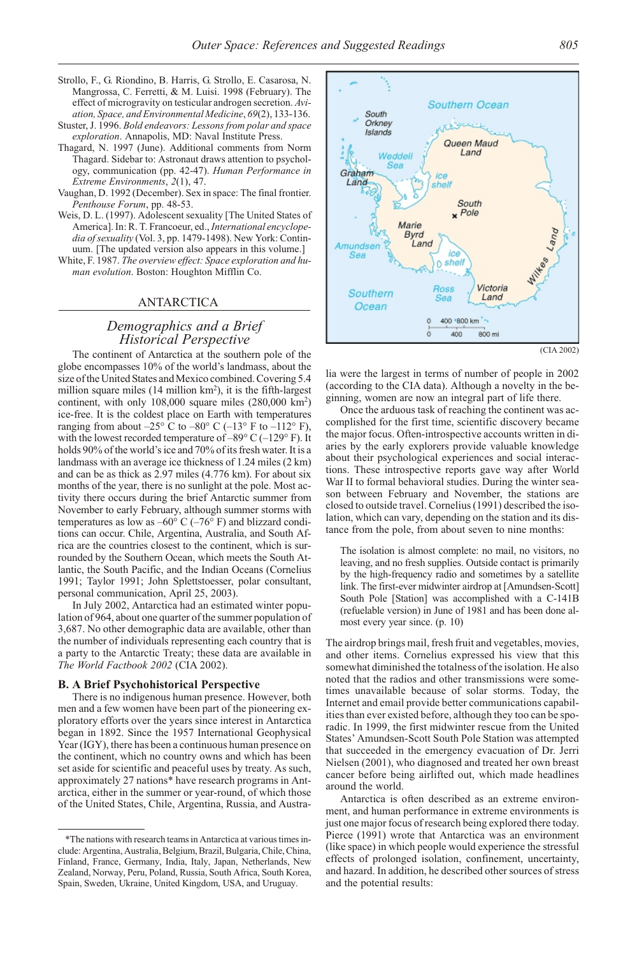- Strollo, F., G. Riondino, B. Harris, G. Strollo, E. Casarosa, N. Mangrossa, C. Ferretti, & M. Luisi. 1998 (February). The effect of microgravity on testicular androgen secretion. Avi*a tion, Space, and En vi ron men tal Med i cine*, *69*(2), 133-136.
- Stuster, J. 1996. *Bold endeavors: Lessons from polar and space exploration*. Annapolis, MD: Naval Institute Press.
- Thagard, N. 1997 (June). Additional comments from Norm Thagard. Sidebar to: Astronaut draws attention to psychology, communication (pp. 42-47). *Human Performance in Ex treme En vi ron ments*, *2*(1), 47.
- Vaughan, D. 1992 (December). Sex in space: The final frontier. *Pent house Fo rum*, pp. 48-53.
- Weis, D. L. (1997). Adolescent sexuality [The United States of America]. In: R. T. Francoeur, ed., *International encyclope*dia of sexuality (Vol. 3, pp. 1479-1498). New York: Continuum. [The updated version also appears in this volume.]
- White, F. 1987. *The overview effect: Space exploration and hu*man evolution. Boston: Houghton Mifflin Co.

#### ANTARCTICA

#### *Demographics and a Brief Historical Perspective*

The continent of Antarctica at the southern pole of the globe encompasses  $10\%$  of the world's land mass, about the size of the United States and Mexico combined. Covering 5.4 million square miles  $(14 \text{ million km}^2)$ , it is the fifth-largest continent, with only  $108,000$  square miles  $(280,000 \text{ km}^2)$ ice-free. It is the coldest place on Earth with temperatures ranging from about  $-25^{\circ}$  C to  $-80^{\circ}$  C ( $-13^{\circ}$  F to  $-112^{\circ}$  F), with the lowest recorded temperature of  $-89^{\circ}$  C ( $-129^{\circ}$  F). It holds 90% of the world's ice and 70% of its fresh water. It is a land mass with an average ice thickness of  $1.24$  miles  $(2 \text{ km})$ and can be as thick as  $2.97$  miles  $(4.776 \text{ km})$ . For about six months of the year, there is no sunlight at the pole. Most activity there occurs during the brief Antarctic summer from November to early February, although summer storms with tem peratures as low as –60 $\degree$  C (–76 $\degree$  F) and blizzard conditions can occur. Chile, Argentina, Australia, and South Africa are the countries closest to the continent, which is surrounded by the Southern Ocean, which meets the South Atlantic, the South Pacific, and the Indian Oceans (Cornelius 1991; Taylor 1991; John Splettstoesser, polar consultant, personal communication, April 25, 2003).

In July 2002, Antarctica had an estimated winter population of 964, about one quarter of the summer population of 3,687. No other demographic data are available, other than the number of individuals representing each country that is a party to the Antarctic Treaty; these data are available in *The World Fact book 2002* (CIA 2002).

#### **B. A Brief Psychohistorical Perspective**

There is no indigenous human presence. However, both men and a few women have been part of the pioneering exploratory efforts over the years since interest in Antarctica began in 1892. Since the 1957 International Geophysical Year (IGY), there has been a continuous human presence on the continent, which no country owns and which has been set aside for scientific and peaceful uses by treaty. As such, approximately 27 nations\* have research programs in Antarctica, either in the summer or year-round, of which those of the United States, Chile, Argentina, Russia, and Austra-



(CIA 2002)

lia were the largest in terms of number of people in 2002 (according to the CIA data). Although a novelty in the beginning, women are now an integral part of life there.

Once the arduous task of reaching the continent was accomplished for the first time, scientific discovery became the major focus. Often-introspective accounts written in diaries by the early explorers provide valuable knowledge about their psychological experiences and social interactions. These introspective reports gave way after World War II to formal behavioral studies. During the winter season between February and November, the stations are closed to outside travel. Cornelius (1991) described the isolation, which can vary, depending on the station and its distance from the pole, from about seven to nine months:

The isolation is almost complete: no mail, no visitors, no leaving, and no fresh supplies. Outside contact is primarily by the high-frequency radio and sometimes by a satellite link. The first-ever midwinter airdrop at [Amundsen-Scott] South Pole [Station] was accomplished with a C-141B (refuelable version) in June of 1981 and has been done almost every year since. (p. 10)

The airdrop brings mail, fresh fruit and vegetables, movies, and other items. Cornelius ex pressed his view that this somewhat diminished the totalness of the isolation. He also noted that the radios and other transmissions were sometimes unavailable because of solar storms. Today, the Internet and email provide better communications capabilities than ever existed before, although they too can be sporadic. In 1999, the first midwinter rescue from the United States' Amundsen-Scott South Pole Station was attempted that succeeded in the emergency evacuation of Dr. Jerri Nielsen (2001), who diagnosed and treated her own breast cancer before being airlifted out, which made headlines around the world.

Antarctica is often described as an extreme environment, and human performance in extreme environments is just one major focus of research being explored there today. Pierce (1991) wrote that Antarctica was an environment (like space) in which people would experience the stressful effects of prolonged isolation, confinement, uncertainty, and hazard. In addition, he described other sources of stress and the potential results:

<sup>\*</sup>The nations with research teams in Antarctica at various times include: Argentina, Australia, Belgium, Brazil, Bulgaria, Chile, China, Finland, France, Germany, India, Italy, Japan, Netherlands, New Zealand, Norway, Peru, Poland, Russia, South Africa, South Korea, Spain, Sweden, Ukraine, United Kingdom, USA, and Uruguay.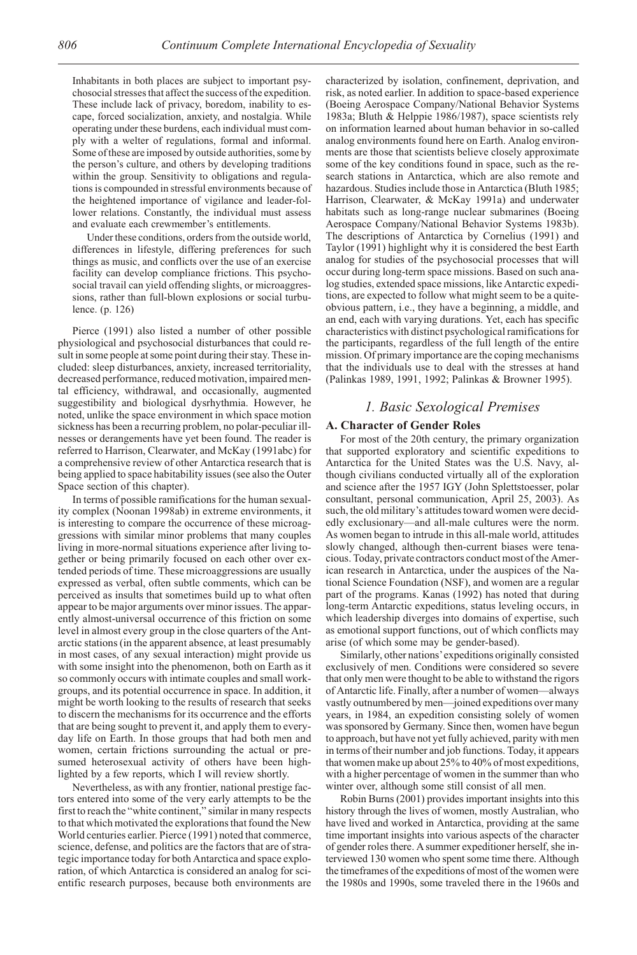Inhabitants in both places are subject to important psychosocial stresses that affect the success of the expedition. These include lack of privacy, boredom, inability to escape, forced socialization, anxiety, and nostalgia. While operating under these burdens, each individual must comply with a welter of regulations, formal and informal. Some of these are imposed by outside authorities, some by the person's culture, and others by developing traditions within the group. Sensitivity to obligations and regulations is compounded in stressful environments because of the heightened importance of vigilance and leader-follower relations. Constantly, the individual must assess and evaluate each crewmember's entitlements.

Under these conditions, orders from the outside world, differences in lifestyle, differing preferences for such things as music, and conflicts over the use of an exercise facility can develop compliance frictions. This psychosocial travail can yield offending slights, or microaggressions, rather than full-blown explosions or social turbulence. (p. 126)

Pierce (1991) also listed a number of other possible physiological and psychosocial disturbances that could result in some people at some point during their stay. These included: sleep disturbances, anxiety, increased territoriality, decreased performance, reduced motivation, impaired mental efficiency, withdrawal, and occasionally, augmented suggestibility and biological dysrhythmia. However, he noted, unlike the space environment in which space motion sickness has been a recurring problem, no polar-peculiar illnesses or derangements have yet been found. The reader is referred to Harrison, Clearwater, and McKay (1991abc) for a comprehensive review of other Antarctica research that is being applied to space habitability issues (see also the Outer Space section of this chapter).

In terms of possible ramifications for the human sexuality complex (Noonan 1998ab) in extreme environments, it is interesting to compare the occurrence of these microaggressions with similar minor problems that many couples living in more-normal situations experience after living together or being primarily focused on each other over extended periods of time. These microaggressions are usually expressed as verbal, often subtle comments, which can be perceived as insults that sometimes build up to what often appear to be major arguments over minor issues. The apparently almost-universal occurrence of this friction on some level in almost every group in the close quarters of the Antarctic stations (in the apparent absence, at least presumably in most cases, of any sexual interaction) might provide us with some insight into the phenomenon, both on Earth as it so commonly occurs with intimate couples and small workgroups, and its potential occurrence in space. In addition, it might be worth looking to the results of research that seeks to discern the mechanisms for its occurrence and the efforts that are being sought to prevent it, and apply them to everyday life on Earth. In those groups that had both men and women, certain frictions surrounding the actual or presumed heterosexual activity of others have been highlighted by a few reports, which I will review shortly.

Nevertheless, as with any frontier, national prestige factors entered into some of the very early attempts to be the first to reach the "white continent," similar in many respects to that which motivated the explorations that found the New World centuries earlier. Pierce (1991) noted that commerce, science, defense, and politics are the factors that are of strategic importance today for both Antarctica and space exploration, of which Antarctica is considered an analog for scientific research purposes, because both environments are

characterized by isolation, confinement, deprivation, and risk, as noted earlier. In addition to space-based experience (Boeing Aerospace Company/National Behavior Systems 1983a; Bluth & Helppie 1986/1987), space scientists rely on information learned about human behavior in so-called analog environments found here on Earth. Analog environments are those that scientists believe closely approximate some of the key conditions found in space, such as the research stations in Antarctica, which are also remote and haz ard ous. Studies include those in Antarctica (Bluth 1985; Harrison, Clearwater, & McKay 1991a) and underwater habitats such as long-range nuclear submarines (Boeing Aerospace Company/National Behavior Systems 1983b). The descriptions of Antarctica by Cornelius (1991) and Taylor (1991) highlight why it is considered the best Earth analog for studies of the psychosocial processes that will occur during long-term space missions. Based on such analog studies, extended space missions, like Antarctic expeditions, are expected to follow what might seem to be a quiteobvious pattern, i.e., they have a beginning, a middle, and an end, each with varying durations. Yet, each has specific characteristics with distinct psychological ramifications for the participants, regardless of the full length of the entire mission. Of primary importance are the coping mechanisms that the individuals use to deal with the stresses at hand (Palinkas 1989, 1991, 1992; Palinkas & Browner 1995).

#### *1. Basic Sexological Premises*

#### **A. Character of Gender Roles**

For most of the 20th century, the primary organization that supported exploratory and scientific expeditions to Antarctica for the United States was the U.S. Navy, although civilians conducted virtually all of the exploration and science after the 1957 IGY (John Splettstoesser, polar consultant, personal communication, April 25, 2003). As such, the old military's attitudes toward women were decidedly exclusionary—and all-male cultures were the norm. As women began to intrude in this all-male world, attitudes slowly changed, although then-current biases were tenacious. Today, private contractors conduct most of the American research in Antarctica, under the auspices of the National Science Foundation (NSF), and women are a regular part of the programs. Kanas (1992) has noted that during long-term Antarctic expeditions, status leveling occurs, in which leadership diverges into domains of expertise, such as emotional support functions, out of which conflicts may arise (of which some may be gender-based).

Similarly, other nations' expeditions originally consisted exclusively of men. Conditions were considered so severe that only men were thought to be able to with stand the rigors of Antarctic life. Finally, after a number of women—always vastly outnumbered by men—joined expeditions over many years, in 1984, an expedition consisting solely of women was sponsored by Germany. Since then, women have begun to approach, but have not yet fully achieved, parity with men in terms of their number and job functions. Today, it appears that women make up about  $25\%$  to  $40\%$  of most expeditions, with a higher percentage of women in the summer than who winter over, although some still consist of all men.

Robin Burns (2001) provides important insights into this history through the lives of women, mostly Australian, who have lived and worked in Antarctica, providing at the same time important insights into various aspects of the character of gender roles there. A summer expeditioner herself, she inter viewed 130 women who spent some time there. Although the time frames of the expeditions of most of the women were the 1980s and 1990s, some traveled there in the 1960s and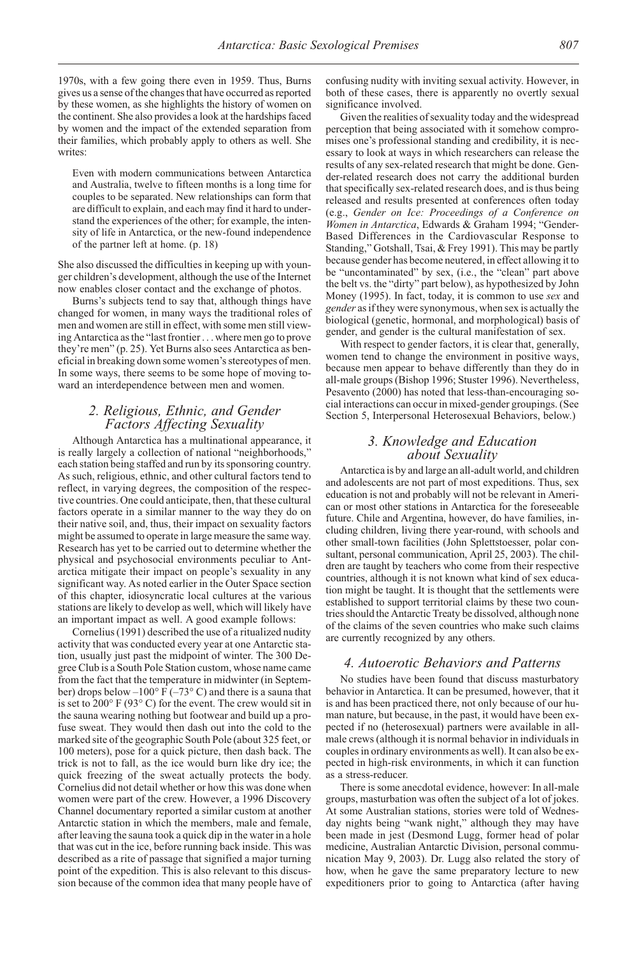1970s, with a few going there even in 1959. Thus, Burns gives us a sense of the changes that have occurred as reported by these women, as she highlights the history of women on the continent. She also provides a look at the hardships faced by women and the impact of the extended separation from their families, which probably apply to others as well. She writes:

Even with modern communications between Antarctica and Australia, twelve to fifteen months is a long time for couples to be separated. New relationships can form that are difficult to explain, and each may find it hard to understand the experiences of the other; for example, the intensity of life in Antarctica, or the new-found independence of the partner left at home. (p. 18)

She also discussed the difficulties in keeping up with younger children's development, although the use of the Internet now enables closer contact and the exchange of photos.

Burns's subjects tend to say that, although things have changed for women, in many ways the traditional roles of men and women are still in effect, with some men still viewing Antarctica as the "last frontier . . . where men go to prove they're men" (p. 25). Yet Burns also sees Antarctica as beneficial in breaking down some women's stereotypes of men. In some ways, there seems to be some hope of moving toward an interdependence between men and women.

#### *2. Religious, Ethnic, and Gender Factors Affecting Sexuality*

Although Antarctica has a multinational appearance, it is really largely a collection of national "neighborhoods," each station being staffed and run by its sponsoring country. As such, religious, ethnic, and other cultural factors tend to reflect, in varying degrees, the composition of the respective countries. One could anticipate, then, that these cultural factors operate in a similar manner to the way they do on their native soil, and, thus, their impact on sexuality factors might be assumed to operate in large measure the same way. Research has yet to be carried out to determine whether the physical and psychosocial environments peculiar to Antarctica mitigate their impact on people's sexuality in any significant way. As noted earlier in the Outer Space section of this chapter, idiosyncratic local cultures at the various stations are likely to develop as well, which will likely have an important impact as well. A good example follows:

Cornelius (1991) described the use of a ritualized nudity activity that was conducted every year at one Antarctic station, usually just past the midpoint of winter. The 300 Degree Club is a South Pole Station custom, whose name came from the fact that the temperature in midwinter (in September) drops below  $-100^{\circ}$  F ( $-73^{\circ}$  C) and there is a sauna that is set to 200° F (93° C) for the event. The crew would sit in the sauna wearing nothing but footwear and build up a profuse sweat. They would then dash out into the cold to the marked site of the geographic South Pole (about 325 feet, or 100 meters), pose for a quick picture, then dash back. The trick is not to fall, as the ice would burn like dry ice; the quick freezing of the sweat actually protects the body. Cornelius did not detail whether or how this was done when women were part of the crew. However, a 1996 Discovery Channel documentary reported a similar custom at another Antarctic station in which the members, male and female, after leaving the sauna took a quick dip in the water in a hole that was cut in the ice, before running back inside. This was described as a rite of passage that signified a major turning point of the expedition. This is also relevant to this discussion because of the common idea that many people have of

confusing nudity with inviting sexual activity. However, in both of these cases, there is apparently no overtly sexual significance involved.

Given the realities of sexuality today and the widespread perception that being associated with it somehow compromises one's professional standing and credibility, it is necessary to look at ways in which researchers can release the results of any sex-related research that might be done. Gender-related research does not carry the additional burden that specifically sex-related research does, and is thus being released and results presented at conferences often today (e.g., *Gen der on Ice: Pro ceed ings of a Con ference on Women in Antarctica*, Edwards & Graham 1994; "Gender-Based Differences in the Cardiovascular Response to Standing," Gotshall, Tsai, & Frey 1991). This may be partly be cause gender has be come neu tered, in effect al low ing it to be "uncontaminated" by sex, (i.e., the "clean" part above the belt vs. the "dirty" part below), as hypothesized by John Money (1995). In fact, today, it is common to use *sex* and *gender* as if they were synonymous, when sex is actually the biological (genetic, hormonal, and morphological) basis of gender, and gender is the cultural manifestation of sex.

With respect to gender factors, it is clear that, generally, women tend to change the environment in positive ways, because men appear to behave differently than they do in all-male groups (Bishop 1996; Stuster 1996). Nevertheless, Pesavento (2000) has noted that less-than-encouraging social interactions can occur in mixed-gender groupings. (See Section 5, Interpersonal Heterosexual Behaviors, below.)

#### *3. Knowledge and Education about Sexuality*

Antarctica is by and large an all-adult world, and children and adolescents are not part of most expeditions. Thus, sex education is not and probably will not be relevant in American or most other stations in Antarctica for the foreseeable future. Chile and Argentina, however, do have families, including children, living there year-round, with schools and other small-town facilities (John Splettstoesser, polar consultant, personal communication, April 25, 2003). The children are taught by teachers who come from their respective countries, although it is not known what kind of sex education might be taught. It is thought that the settlements were established to support territorial claims by these two countries should the Antarctic Treaty be dissolved, although none of the claims of the seven coun tries who make such claims are currently recognized by any others.

#### *4. Autoerotic Behaviors and Patterns*

No studies have been found that discuss masturbatory behavior in Antarctica. It can be presumed, however, that it is and has been practiced there, not only because of our human nature, but because, in the past, it would have been expected if no (heterosexual) partners were available in allmale crews (although it is normal behavior in individuals in couples in ordinary environments as well). It can also be expected in high-risk environments, in which it can function as a stress-reducer.

There is some anecdotal evidence, however: In all-male groups, masturbation was often the subject of a lot of jokes. At some Australian stations, stories were told of Wednesday nights being "wank night," although they may have been made in jest (Desmond Lugg, former head of polar medicine, Australian Antarctic Division, personal communication May 9, 2003). Dr. Lugg also related the story of how, when he gave the same preparatory lecture to new expeditioners prior to going to Antarctica (after having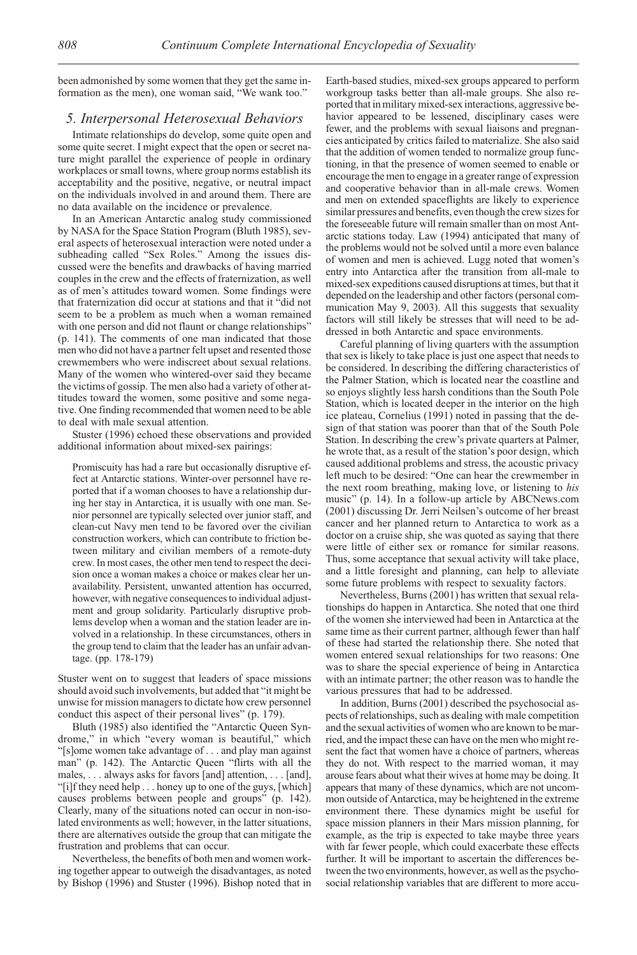been admonished by some women that they get the same information as the men), one woman said, "We wank too."

#### *5. Interpersonal Heterosexual Behaviors*

Intimate relationships do develop, some quite open and some quite secret. I might expect that the open or secret nature might parallel the experience of people in ordinary workplaces or small towns, where group norms establish its acceptability and the positive, negative, or neutral impact on the individuals involved in and around them. There are no data avail able on the incidence or prevalence.

In an American Antarctic analog study commissioned by NASA for the Space Station Program (Bluth 1985), several aspects of heterosexual interaction were noted under a subheading called "Sex Roles." Among the issues discussed were the benefits and drawbacks of having married couples in the crew and the effects of fraternization, as well as of men's attitudes toward women. Some findings were that fraternization did occur at stations and that it "did not seem to be a problem as much when a woman remained with one person and did not flaunt or change relationships"  $(p. 141)$ . The comments of one man indicated that those men who did not have a partner felt upset and resented those crew members who were indiscreet about sexual relations. Many of the women who wintered-over said they became the victims of gossip. The men also had a variety of other attitudes toward the women, some positive and some negative. One finding recommended that women need to be able to deal with male sexual attention.

Stuster (1996) echoed these observations and provided additional information about mixed-sex pairings:

Promiscuity has had a rare but occasionally disruptive effect at Antarctic stations. Winter-over personnel have reported that if a woman chooses to have a relationship during her stay in Antarctica, it is usually with one man. Senior personnel are typically selected over junior staff, and clean-cut Navy men tend to be favored over the civilian construction workers, which can contribute to friction between military and civilian members of a remote-duty crew. In most cases, the other men tend to respect the decision once a woman makes a choice or makes clear her unavailability. Persistent, unwanted attention has occurred, however, with negative consequences to individual adjustment and group solidarity. Particularly disruptive problems develop when a woman and the station leader are involved in a relationship. In these circumstances, others in the group tend to claim that the leader has an unfair advantage. (pp. 178-179)

Stuster went on to suggest that leaders of space missions should avoid such involvements, but added that "it might be unwise for mission managers to dictate how crew personnel conduct this aspect of their personal lives" (p. 179).

Bluth (1985) also identified the "Antarctic Queen Syndrome," in which "every woman is beautiful," which "[s]ome women take advantage of . . . and play man against man" (p. 142). The Antarctic Queen "flirts with all the males,  $\dots$  always asks for favors [and] attention,  $\dots$  [and], "[i]f they need help . . . honey up to one of the guys, [which] causes problems between people and groups" (p. 142). Clearly, many of the situations noted can occur in non-isolated environments as well; however, in the latter situations, there are alternatives outside the group that can mitigate the frustration and problems that can occur.

Nevertheless, the benefits of both men and women working together appear to outweigh the disadvantages, as noted by Bishop (1996) and Stuster (1996). Bishop noted that in

Earth-based studies, mixed-sex groups appeared to perform workgroup tasks better than all-male groups. She also reported that in military mixed-sex interactions, aggressive behavior appeared to be lessened, disciplinary cases were fewer, and the problems with sexual liaisons and pregnancies anticipated by critics failed to materialize. She also said that the addition of women tended to normalize group functioning, in that the presence of women seemed to enable or encourage the men to engage in a greater range of expression and cooperative behavior than in all-male crews. Women and men on extended spaceflights are likely to experience similar pressures and benefits, even though the crew sizes for the foreseeable future will remain smaller than on most Antarctic stations today. Law (1994) anticipated that many of the problems would not be solved until a more even balance of women and men is achieved. Lugg noted that women's entry into Antarctica after the transition from all-male to mixed-sex expeditions caused disruptions at times, but that it depended on the leadership and other factors (personal communication May 9, 2003). All this suggests that sexuality factors will still likely be stresses that will need to be addressed in both Antarctic and space environments.

Careful planning of living quarters with the assumption that sex is likely to take place is just one aspect that needs to be considered. In describing the differing characteristics of the Palmer Station, which is located near the coastline and so enjoys slightly less harsh conditions than the South Pole Station, which is located deeper in the interior on the high ice plateau, Cornelius (1991) noted in passing that the design of that station was poorer than that of the South Pole Station. In describing the crew's private quarters at Palmer, he wrote that, as a result of the station's poor design, which caused additional problems and stress, the acoustic privacy left much to be desired: "One can hear the crewmember in the next room breathing, making love, or listening to *his* music" (p. 14). In a follow-up article by ABCNews.com (2001) discussing Dr. Jerri Neilsen's outcome of her breast cancer and her planned return to Antarctica to work as a doctor on a cruise ship, she was quoted as saying that there were little of either sex or romance for similar reasons. Thus, some acceptance that sexual activity will take place, and a little fore sight and planning, can help to alleviate some future problems with respect to sexuality factors.

Nevertheless, Burns (2001) has written that sexual relationships do happen in Antarctica. She noted that one third of the women she in ter viewed had been in Antarctica at the same time as their current partner, although fewer than half of these had started the relationship there. She noted that women entered sexual relationships for two reasons: One was to share the special experience of being in Antarctica with an intimate partner; the other reason was to handle the various pressures that had to be addressed.

In addition, Burns (2001) described the psychosocial aspects of relationships, such as dealing with male competition and the sexual activities of women who are known to be married, and the impact these can have on the men who might resent the fact that women have a choice of partners, whereas they do not. With respect to the married woman, it may arouse fears about what their wives at home may be doing. It appears that many of these dynamics, which are not uncommon outside of Antarctica, may be heightened in the extreme environment there. These dynamics might be useful for space mission planners in their Mars mission planning, for example, as the trip is expected to take maybe three years with far fewer people, which could exacerbate these effects further. It will be important to ascertain the differences between the two environments, however, as well as the psychosocial relationship variables that are different to more accu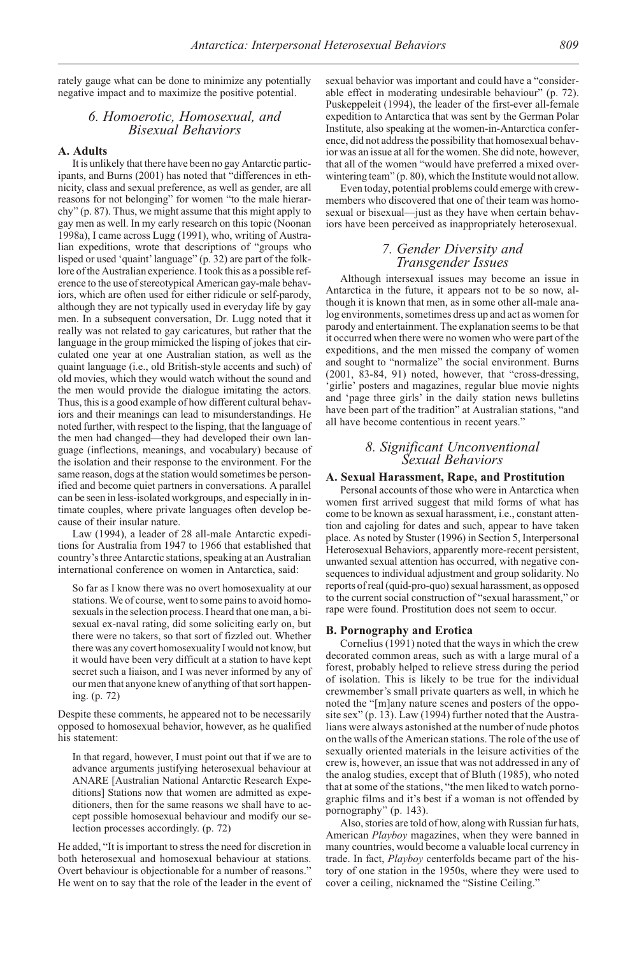rately gauge what can be done to minimize any potentially negative impact and to maximize the positive potential.

#### *6. Homoerotic, Homosexual, and Bisexual Behaviors*

#### **A. Adults**

It is unlikely that there have been no gay Antarctic participants, and Burns (2001) has noted that "differences in ethnicity, class and sexual preference, as well as gender, are all reasons for not belonging" for women "to the male hierarchy" (p. 87). Thus, we might assume that this might apply to gay men as well. In my early research on this topic (Noonan 1998a), I came across Lugg (1991), who, writing of Australian expeditions, wrote that descriptions of "groups who lisped or used 'quaint' language" (p. 32) are part of the folklore of the Australian experience. I took this as a possible reference to the use of stereotypical American gay-male behaviors, which are often used for either ridicule or self-parody, al though they are not typically used in everyday life by gay men. In a subsequent conversation, Dr. Lugg noted that it really was not related to gay caricatures, but rather that the language in the group mimicked the lisping of jokes that circulated one year at one Australian station, as well as the quaint language (i.e., old British-style accents and such) of old movies, which they would watch without the sound and the men would provide the dialogue imitating the actors. Thus, this is a good example of how different cultural behaviors and their meanings can lead to misunderstandings. He noted further, with respect to the lisping, that the language of the men had changed—they had developed their own language (inflections, meanings, and vocabulary) because of the isolation and their response to the environment. For the same reason, dogs at the station would sometimes be personified and become quiet partners in conversations. A parallel can be seen in less-isolated workgroups, and especially in intimate couples, where private languages often develop because of their insular nature.

Law (1994), a leader of 28 all-male Antarctic expeditions for Australia from 1947 to 1966 that established that country's three Antarctic stations, speaking at an Australian international conference on women in Antarctica, said:

So far as I know there was no overt homosexuality at our stations. We of course, went to some pains to avoid homosexuals in the selection process. I heard that one man, a bisexual ex-naval rating, did some soliciting early on, but there were no takers, so that sort of fizzled out. Whether there was any covert homosexuality I would not know, but it would have been very difficult at a station to have kept secret such a liaison, and I was never informed by any of our men that anyone knew of anything of that sort happening. (p. 72)

Despite these comments, he appeared not to be necessarily opposed to homosexual behavior, however, as he qualified his statement:

In that regard, however, I must point out that if we are to advance arguments justifying heterosexual behaviour at ANARE [Australian National Antarctic Research Expeditions] Stations now that women are admitted as expeditioners, then for the same reasons we shall have to accept possible homosexual behaviour and modify our selection processes accordingly. (p. 72)

He added, "It is important to stress the need for discretion in both heterosexual and homosexual behaviour at stations. Overt behaviour is objectionable for a number of reasons." He went on to say that the role of the leader in the event of sexual behavior was important and could have a "considerable effect in moderating undesirable behaviour" (p. 72). Puskeppeleit (1994), the leader of the first-ever all-female expedition to Antarctica that was sent by the German Polar Institute, also speaking at the women-in-Antarctica conference, did not address the possibility that homosexual behavior was an issue at all for the women. She did note, however, that all of the women "would have preferred a mixed overwintering team" (p. 80), which the Institute would not allow.

Even today, potential problems could emerge with crewmembers who discovered that one of their team was homosexual or bisexual—just as they have when certain behaviors have been perceived as inappropriately heterosexual.

#### *7. Gender Diversity and Transgender Issues*

Although intersexual issues may become an issue in Antarctica in the future, it appears not to be so now, although it is known that men, as in some other all-male analog environments, sometimes dress up and act as women for parody and entertainment. The explanation seems to be that it oc curred when there were no women who were part of the expeditions, and the men missed the company of women and sought to "normalize" the social environment. Burns  $(2001, 83-84, 91)$  noted, however, that "cross-dressing, 'girlie' posters and magazines, regular blue movie nights and 'page three girls' in the daily station news bulletins have been part of the tradition" at Australian stations, "and all have become contentious in recent years."

#### *8. Significant Unconventional Sexual Behaviors*

#### **A. Sexual Harassment, Rape, and Prostitution**

Personal accounts of those who were in Antarctica when women first arrived suggest that mild forms of what has come to be known as sexual harassment, i.e., constant attention and cajoling for dates and such, appear to have taken place. As noted by Stuster (1996) in Section 5, Interpersonal Heterosexual Behaviors, apparently more-recent persistent, unwanted sexual attention has occurred, with negative consequences to individual adjustment and group solidarity. No reports of real (quid-pro-quo) sexual harassment, as opposed to the current social construction of "sexual harassment," or rape were found. Prostitution does not seem to occur.

#### **B. Pornography and Erotica**

Cornelius (1991) noted that the ways in which the crew decorated common areas, such as with a large mural of a forest, probably helped to relieve stress during the period of isolation. This is likely to be true for the individual crewmember's small private quarters as well, in which he noted the "[m]any nature scenes and posters of the opposite sex" (p. 13). Law (1994) further noted that the Australians were always astonished at the number of nude photos on the walls of the American stations. The role of the use of sexually oriented materials in the leisure activities of the crew is, however, an issue that was not addressed in any of the analog studies, except that of Bluth (1985), who noted that at some of the stations, "the men liked to watch pornographic films and it's best if a woman is not offended by pornography" (p. 143).

Also, stories are told of how, along with Russian fur hats, American *Playboy* magazines, when they were banned in many countries, would become a valuable local currency in trade. In fact, *Playboy* centerfolds became part of the history of one station in the 1950s, where they were used to cover a ceiling, nicknamed the "Sistine Ceiling."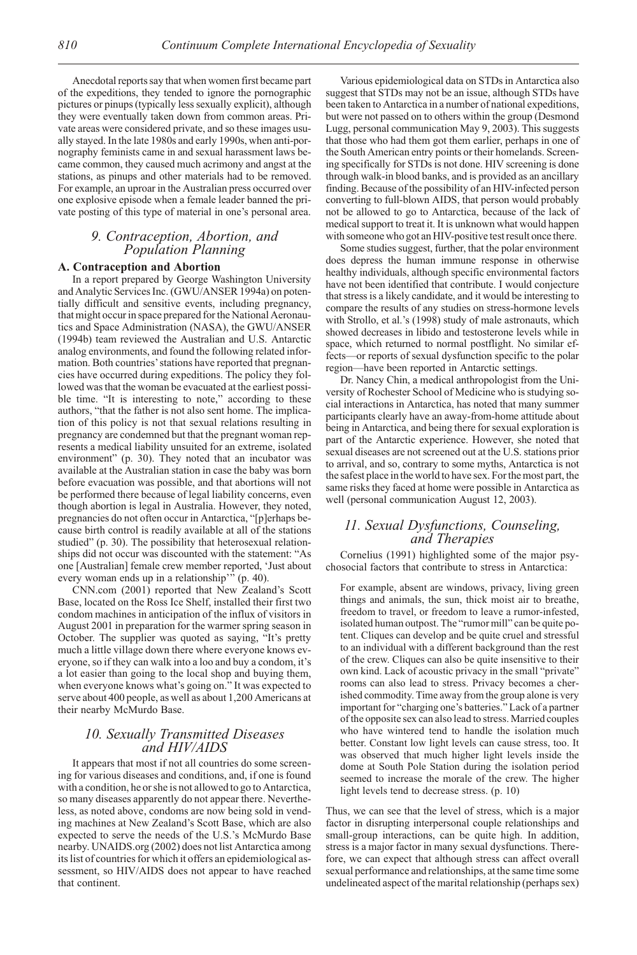Anecdotal reports say that when women first became part of the expeditions, they tended to ignore the pornographic pictures or pinups (typically less sexually explicit), although they were eventually taken down from common areas. Private areas were considered private, and so these images usually stayed. In the late 1980s and early 1990s, when anti-pornography feminists came in and sexual harassment laws became common, they caused much acrimony and angst at the stations, as pinups and other materials had to be removed. For example, an uproar in the Australian press occurred over one explosive episode when a female leader banned the private posting of this type of material in one's personal area.

#### *9. Contraception, Abortion, and Population Planning*

#### **A. Contraception and Abortion**

In a report prepared by George Washington University and Analytic Services Inc. (GWU/ANSER 1994a) on potentially difficult and sensitive events, including pregnancy, that might occur in space prepared for the National Aeronautics and Space Administration (NASA), the GWU/ANSER (1994b) team reviewed the Australian and U.S. Antarctic analog environments, and found the following related information. Both countries' stations have reported that pregnancies have occurred during expeditions. The policy they followed was that the woman be evacuated at the earliest possible time. "It is interesting to note," according to these authors, "that the father is not also sent home. The implication of this policy is not that sexual relations resulting in pregnancy are condemned but that the pregnant woman represents a medical liability unsuited for an extreme, isolated environment" (p. 30). They noted that an incubator was available at the Australian station in case the baby was born before evacuation was possible, and that abortions will not be performed there because of legal liability concerns, even though abortion is legal in Australia. However, they noted, pregnancies do not often occur in Antarctica, "[p]erhaps because birth control is readily available at all of the stations studied" (p. 30). The possibility that heterosexual relationships did not occur was discounted with the statement: "As one [Australian] female crew member reported, 'Just about every woman ends up in a relationship'" (p. 40).

CNN.com (2001) reported that New Zealand's Scott Base, located on the Ross Ice Shelf, installed their first two condom machines in anticipation of the influx of visitors in August 2001 in preparation for the warmer spring season in October. The supplier was quoted as saying, "It's pretty much a little village down there where everyone knows everyone, so if they can walk into a loo and buy a condom, it's a lot easier than going to the local shop and buying them, when everyone knows what's going on." It was expected to serve about 400 people, as well as about 1,200 Americans at their nearby McMurdo Base.

#### *10. Sexually Transmitted Diseases and HIV/AIDS*

It appears that most if not all countries do some screening for various diseases and conditions, and, if one is found with a condition, he or she is not allowed to go to Antarctica, so many diseases apparently do not appear there. Nevertheless, as noted above, condoms are now being sold in vending machines at New Zealand's Scott Base, which are also expected to serve the needs of the U.S.'s McMurdo Base nearby. UNAIDS.org (2002) does not list Antarctica among its list of countries for which it offers an epidemiological assessment, so HIV/AIDS does not appear to have reached that continent.

Various epidemiological data on STDs in Antarctica also suggest that STDs may not be an issue, although STDs have been taken to Antarctica in a number of national expeditions, but were not passed on to others within the group (Desmond Lugg, personal communication May 9, 2003). This suggests that those who had them got them earlier, perhaps in one of the South American entry points or their homelands. Screening specifically for STDs is not done. HIV screening is done through walk-in blood banks, and is provided as an ancillary finding. Because of the possibility of an HIV-infected person converting to full-blown AIDS, that person would probably not be allowed to go to Antarctica, because of the lack of medical support to treat it. It is unknown what would happen with someone who got an HIV-positive test result once there.

Some studies suggest, further, that the polar environment does depress the human immune response in otherwise healthy individuals, although specific environmental factors have not been identified that contribute. I would conjecture that stress is a likely candidate, and it would be interesting to compare the results of any studies on stress-hormone levels with Strollo, et al.'s (1998) study of male astronauts, which showed decreases in libido and testosterone levels while in space, which returned to normal postflight. No similar effects—or reports of sexual dysfunction specific to the polar region—have been reported in Antarctic settings.

Dr. Nancy Chin, a medical anthropologist from the University of Rochester School of Medicine who is studying social interactions in Antarctica, has noted that many summer participants clearly have an away-from-home attitude about being in Antarctica, and being there for sexual exploration is part of the Antarctic experience. However, she noted that sexual diseases are not screened out at the U.S. stations prior to arrival, and so, contrary to some myths, Antarctica is not the safest place in the world to have sex. For the most part, the same risks they faced at home were possible in Antarctica as well (personal communication August 12, 2003).

#### *11. Sexual Dysfunctions, Counseling, and Therapies*

Cornelius (1991) highlighted some of the major psychosocial factors that contribute to stress in Antarctica:

For example, absent are windows, privacy, living green things and animals, the sun, thick moist air to breathe, freedom to travel, or freedom to leave a rumor-infested, isolated human outpost. The "rumor mill" can be quite potent. Cliques can develop and be quite cruel and stressful to an individual with a different background than the rest of the crew. Cliques can also be quite insensitive to their own kind. Lack of acoustic privacy in the small "private" rooms can also lead to stress. Privacy becomes a cherished commodity. Time away from the group alone is very important for "charging one's batteries." Lack of a partner of the opposite sex can also lead to stress. Married couples who have wintered tend to handle the isolation much better. Constant low light levels can cause stress, too. It was observed that much higher light levels inside the dome at South Pole Station during the isolation period seemed to increase the morale of the crew. The higher light levels tend to decrease stress. (p. 10)

Thus, we can see that the level of stress, which is a major factor in disrupting interpersonal couple relationships and small-group interactions, can be quite high. In addition, stress is a major factor in many sexual dysfunctions. Therefore, we can expect that although stress can affect overall sexual performance and relationships, at the same time some undelineated aspect of the marital relationship (perhaps sex)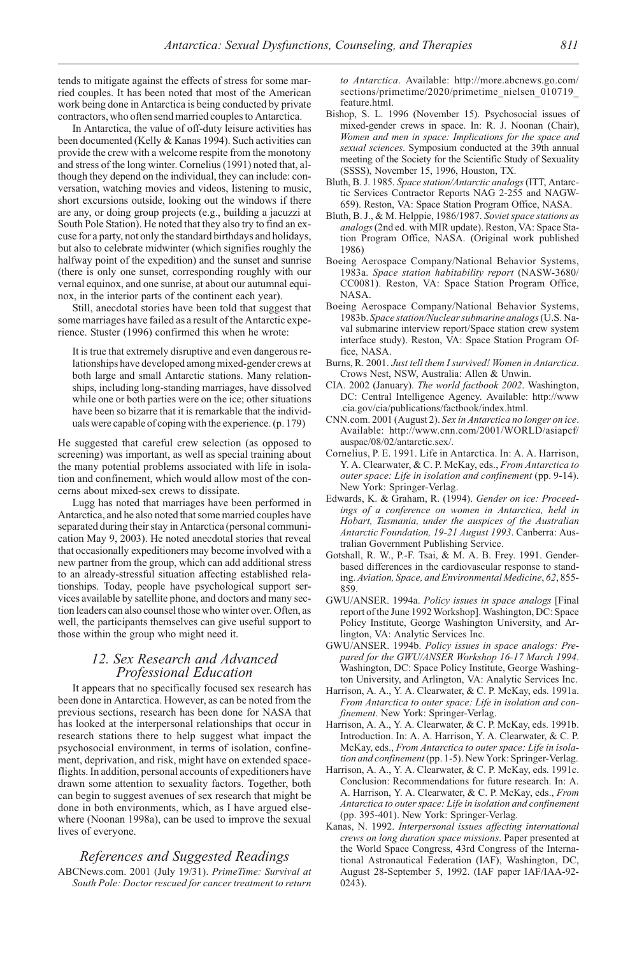tends to mitigate against the effects of stress for some married couples. It has been noted that most of the American work being done in Antarctica is being conducted by private contractors, who often send married couples to Antarctica.

In Antarctica, the value of off-duty leisure activities has been documented (Kelly & Kanas 1994). Such activities can provide the crew with a welcome respite from the monotony and stress of the long winter. Cornelius (1991) noted that, although they depend on the individual, they can include: conversation, watching movies and videos, listening to music, short excursions outside, looking out the windows if there are any, or doing group projects (e.g., building a jacuzzi at South Pole Station). He noted that they also try to find an excuse for a party, not only the standard birthdays and holidays, but also to celebrate midwinter (which signifies roughly the halfway point of the expedition) and the sunset and sunrise (there is only one sunset, corresponding roughly with our vernal equinox, and one sunrise, at about our autumnal equinox, in the interior parts of the continent each year).

Still, anecdotal stories have been told that suggest that some marriages have failed as a result of the Antarctic experience. Stuster  $(1996)$  confirmed this when he wrote:

It is true that extremely disruptive and even dangerous relationships have developed among mixed-gender crews at both large and small Antarctic stations. Many relationships, including long-standing marriages, have dissolved while one or both parties were on the ice; other situations have been so bizarre that it is remarkable that the individuals were capable of coping with the experience. (p. 179)

He suggested that careful crew selection (as opposed to screening) was important, as well as special training about the many potential problems associated with life in isolation and confinement, which would allow most of the concerns about mixed-sex crews to dissipate.

Lugg has noted that marriages have been performed in Antarctica, and he also noted that some married couples have separated during their stay in Antarctica (personal communication May 9, 2003). He noted anecdotal stories that reveal that occasionally expeditioners may become involved with a new partner from the group, which can add additional stress to an already-stressful situation affecting established relationships. Today, people have psychological support services available by satellite phone, and doctors and many section leaders can also counsel those who winter over. Often, as well, the participants themselves can give useful support to those within the group who might need it.

#### *12. Sex Research and Advanced Professional Education*

It appears that no specifically focused sex research has been done in Antarctica. However, as can be noted from the previous sections, research has been done for NASA that has looked at the interpersonal relationships that occur in research stations there to help suggest what impact the psychosocial environment, in terms of isolation, confinement, deprivation, and risk, might have on extended spaceflights. In addition, personal accounts of expeditioners have drawn some attention to sexuality factors. Together, both can begin to suggest avenues of sex research that might be done in both environments, which, as I have argued elsewhere (Noonan 1998a), can be used to improve the sexual lives of everyone.

#### *References and Suggested Readings*

ABCNews.com. 2001 (July 19/31). PrimeTime: Survival at South Pole: Doctor rescued for cancer treatment to return to Antarctica. Available: http://more.abcnews.go.com/ sections/primetime/2020/primetime\_nielsen\_010719 feature.html.

- Bishop, S. L. 1996 (November 15). Psychosocial issues of mixed-gender crews in space. In: R. J. Noonan (Chair), *Women and men in space: Implications for the space and sexual sciences*. Symposium conducted at the 39th annual meeting of the Society for the Scientific Study of Sexuality (SSSS), November 15, 1996, Houston, TX.
- Bluth, B. J. 1985. *Space station/Antarctic analogs* (ITT, Antarctic Services Contractor Reports NAG 2-255 and NAGW-659). Reston, VA: Space Station Program Office, NASA.
- Bluth, B. J., & M. Helppie, 1986/1987. *Soviet space stations as* analogs (2nd ed. with MIR update). Reston, VA: Space Station Program Office, NASA. (Original work published 1986)
- Boeing Aerospace Company/National Behavior Systems, 1983a. Space station habitability report (NASW-3680/ CC0081). Reston, VA: Space Station Program Office, NASA.
- Boeing Aerospace Company/National Behavior Systems, 1983b. *Space sta tion/Nu clear sub ma rine analogs* (U.S. Naval submarine interview report/Space station crew system interface study). Reston, VA: Space Station Program Office, NASA.
- Burns, R. 2001. *Just tell them I sur vived! Women in Antarctica*. Crows Nest, NSW, Australia: Allen & Unwin.
- CIA. 2002 (January). *The world factbook 2002*. Washington, DC: Central Intelligence Agency. Available: http://www .cia.gov/cia/publications/factbook/index.html.
- CNN.com. 2001 (August 2). *Sex in Antarctica no longer on ice*. Avail able: http://www.cnn.com/2001/WORLD/asiapcf/ auspac/08/02/antarctic.sex/.
- Cornelius, P. E. 1991. Life in Antarctica. In: A. A. Harrison, Y. A. Clearwater, & C. P. McKay, eds., *From Antarctica to outer space: Life in isolation and confinement* (pp. 9-14). New York: Springer-Verlag.
- Edwards, K. & Graham, R. (1994). *Gender on ice: Proceedings of a conference on women in Antarctica, held in Hobart, Tasmania, under the auspices of the Australian* Antarctic Foundation, 19-21 August 1993. Canberra: Australian Government Publishing Service.
- Gotshall, R. W., P.-F. Tsai, & M. A. B. Frey. 1991. Genderbased differences in the cardiovascular response to standing. Aviation, Space, and Environmental Medicine, 62, 855-859.
- GWU/ANSER. 1994a. Policy issues in space analogs [Final report of the June 1992 Workshop]. Washington, DC: Space Policy Institute, George Washington University, and Arlington, VA: Analytic Services Inc.
- GWU/ANSER. 1994b. Policy issues in space analogs: Pre*pared for the GWU/ANSER Work shop 16-17 March 1994*. Washington, DC: Space Policy Institute, George Washington University, and Arlington, VA: Analytic Services Inc.
- Harrison, A. A., Y. A. Clearwater, & C. P. McKay, eds. 1991a. *From Antarctica to outer space: Life in isolation and confine ment*. New York: Springer-Verlag.
- Harrison, A. A., Y. A. Clearwater, & C. P. McKay, eds. 1991b. Introduction. In: A. A. Harrison, Y. A. Clearwater, & C. P. McKay, eds., From Antarctica to outer space: Life in isola*tion and confinement* (pp. 1-5). New York: Springer-Verlag.
- Harrison, A. A., Y. A. Clearwater, & C. P. McKay, eds. 1991c. Conclusion: Recommendations for future research. In: A. A. Harrison, Y. A. Clearwater, & C. P. McKay, eds., *From* Antarctica to outer space: Life in isolation and confinement (pp. 395-401). New York: Springer-Verlag.
- Kanas, N. 1992. *Interpersonal issues affecting international crews on long duration space missions*. Paper presented at the World Space Congress, 43rd Congress of the International Astronautical Federation (IAF), Washington, DC, August 28-September 5, 1992. (IAF paper IAF/IAA-92-0243).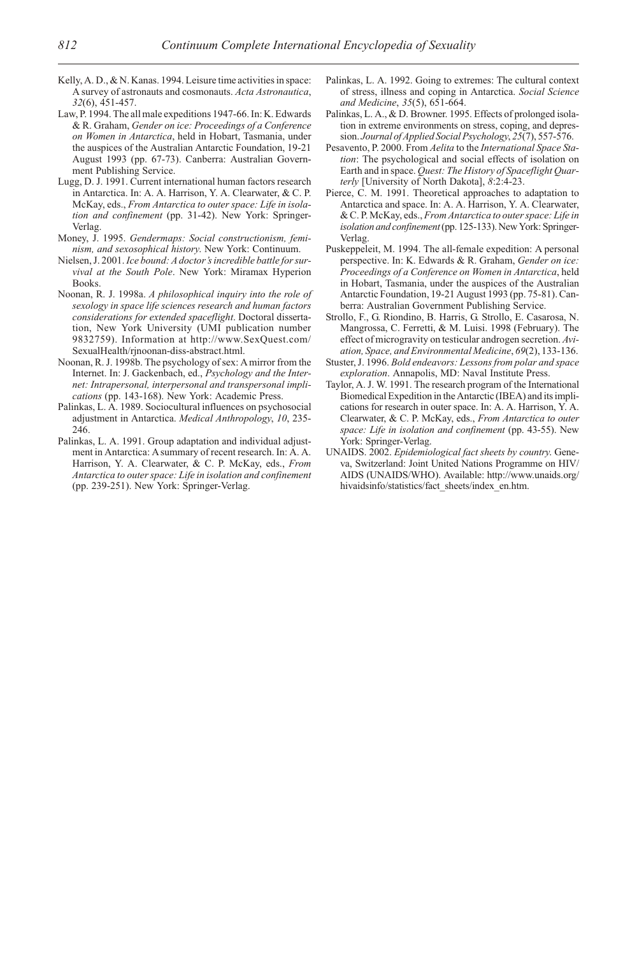- Kelly, A. D.,  $\&$  N. Kanas. 1994. Leisure time activities in space: A survey of astronauts and cosmonauts. Acta Astronautica, *32*(6), 451-457.
- Law, P. 1994. The all male expeditions 1947-66. In: K. Edwards & R. Graham, *Gender on ice: Proceedings of a Conference on Women in Antarctica*, held in Hobart, Tasmania, under the auspices of the Australian Antarctic Foundation, 19-21 August 1993 (pp. 67-73). Canberra: Australian Government Publishing Service.
- Lugg, D. J. 1991. Current international human factors research in Antarctica. In: A. A. Harrison, Y. A. Clearwater, & C. P. McKay, eds., *From Antarctica to outer space: Life in iso la tion and confinement* (pp. 31-42). New York: Springer-Verlag.
- Money, J. 1995. *Gendermaps: Social constructionism, feminism, and sexosophical history*. New York: Continuum.
- Nielsen, J. 2001. *Ice bound: A doctor's incredible battle for survival at the South Pole*. New York: Miramax Hyperion Books.
- Noonan, R. J. 1998a. *A philosophical inquiry into the role of* sexology in space life sciences research and human factors considerations for extended spaceflight. Doctoral dissertation, New York University (UMI publication number 9832759). Information at http://www.SexQuest.com/ SexualHealth/rjnoonan-diss-ab stract.html.
- Noonan, R. J. 1998b. The psychology of sex: A mirror from the Internet. In: J. Gackenbach, ed., *Psy chol ogy and the Inter net: Intrapersonal, in ter per son al and trans personal im pli cations* (pp. 143-168). New York: Academic Press.
- Palinkas, L. A. 1989. Sociocultural influences on psychosocial adjustment in Antarctica. *Medical Anthropology*, 10, 235-246.
- Palinkas, L. A. 1991. Group adaptation and individual adjustment in Antarctica: A summary of recent research. In: A. A. Harrison, Y. A. Clearwater, & C. P. McKay, eds., *From* Antarctica to outer space: Life in isolation and confinement (pp. 239-251). New York: Springer-Verlag.
- Palinkas, L. A. 1992. Going to extremes: The cultural context of stress, illness and coping in Antarctica. *Social Science and Med i cine*, *35*(5), 651-664.
- Palinkas, L. A., & D. Browner. 1995. Effects of prolonged isolation in extreme environments on stress, coping, and depression. *Journal of Applied Social Psychology*, 25(7), 557-576.
- Pesavento, P. 2000. From *Aelita* to the *International Space Sta*tion: The psychological and social effects of isolation on Earth and in space. *Quest: The His tory of Space flight Quar terly* [University of North Dakota], 8:2:4-23.
- Pierce, C. M. 1991. Theoretical approaches to adaptation to Antarctica and space. In: A. A. Harrison, Y. A. Clearwater, & C. P. McKay, eds., *From Antarctica to outer space: Life in iso la tion and con fine ment* (pp. 125-133). New York: Springer-Verlag.
- Puskeppeleit, M. 1994. The all-female expedition: A personal perspective. In: K. Edwards & R. Graham, *Gender on ice: Pro ceed ings of a Con ference on Women in Antarctica*, held in Hobart, Tasmania, under the auspices of the Australian Antarctic Foundation, 19-21 August 1993 (pp. 75-81). Canberra: Australian Government Publishing Service.
- Strollo, F., G. Riondino, B. Harris, G. Strollo, E. Casarosa, N. Mangrossa, C. Ferretti, & M. Luisi. 1998 (February). The effect of microgravity on testicular androgen secretion. Avi*a tion, Space, and En vi ron men tal Med i cine*, *69*(2), 133-136.
- Stuster, J. 1996. *Bold en deav ors: Les sons from po lar and space exploration*. Annapolis, MD: Naval Institute Press.
- Taylor, A. J. W. 1991. The research program of the International Biomedical Expedition in the Antarctic (IBEA) and its implications for research in outer space. In: A. A. Harrison, Y. A. Clearwater, & C. P. McKay, eds., *From Antarctica to outer* space: Life in isolation and confinement (pp. 43-55). New York: Springer-Verlag.
- UNAIDS. 2002. *Epidemiological fact sheets by country*. Geneva, Switzerland: Joint United Nations Programme on HIV/ AIDS (UNAIDS/WHO). Available: http://www.unaids.org/ hivaidsinfo/statistics/fact\_sheets/index\_en.htm.